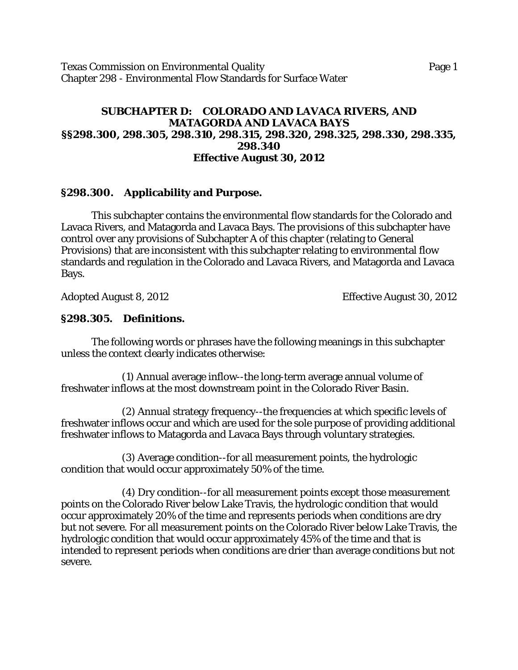Texas Commission on Environmental Quality **Page 1** Page 1 Chapter 298 - Environmental Flow Standards for Surface Water

### **SUBCHAPTER D: COLORADO AND LAVACA RIVERS, AND MATAGORDA AND LAVACA BAYS §§298.300, 298.305, 298.310, 298.315, 298.320, 298.325, 298.330, 298.335, 298.340 Effective August 30, 2012**

### **§298.300. Applicability and Purpose.**

This subchapter contains the environmental flow standards for the Colorado and Lavaca Rivers, and Matagorda and Lavaca Bays. The provisions of this subchapter have control over any provisions of Subchapter A of this chapter (relating to General Provisions) that are inconsistent with this subchapter relating to environmental flow standards and regulation in the Colorado and Lavaca Rivers, and Matagorda and Lavaca Bays.

Adopted August 8, 2012 Effective August 30, 2012

### **§298.305. Definitions.**

The following words or phrases have the following meanings in this subchapter unless the context clearly indicates otherwise:

(1) Annual average inflow--the long-term average annual volume of freshwater inflows at the most downstream point in the Colorado River Basin.

(2) Annual strategy frequency--the frequencies at which specific levels of freshwater inflows occur and which are used for the sole purpose of providing additional freshwater inflows to Matagorda and Lavaca Bays through voluntary strategies.

(3) Average condition--for all measurement points, the hydrologic condition that would occur approximately 50% of the time.

(4) Dry condition--for all measurement points except those measurement points on the Colorado River below Lake Travis, the hydrologic condition that would occur approximately 20% of the time and represents periods when conditions are dry but not severe. For all measurement points on the Colorado River below Lake Travis, the hydrologic condition that would occur approximately 45% of the time and that is intended to represent periods when conditions are drier than average conditions but not severe.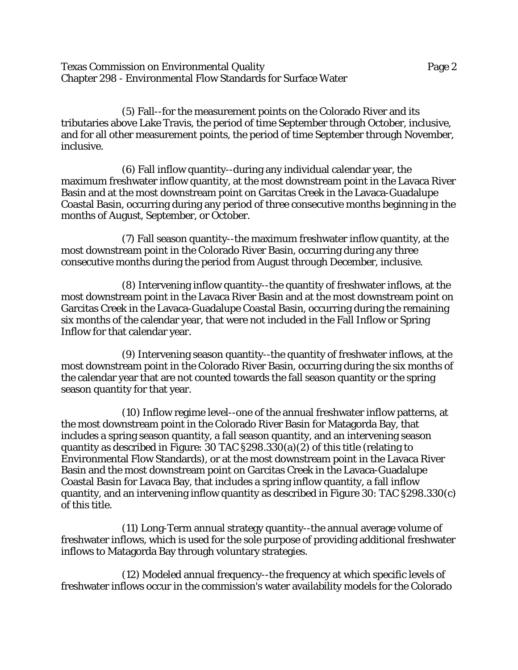Texas Commission on Environmental Quality Page 2 Chapter 298 - Environmental Flow Standards for Surface Water

(5) Fall--for the measurement points on the Colorado River and its tributaries above Lake Travis, the period of time September through October, inclusive, and for all other measurement points, the period of time September through November, inclusive.

(6) Fall inflow quantity--during any individual calendar year, the maximum freshwater inflow quantity, at the most downstream point in the Lavaca River Basin and at the most downstream point on Garcitas Creek in the Lavaca-Guadalupe Coastal Basin, occurring during any period of three consecutive months beginning in the months of August, September, or October.

(7) Fall season quantity--the maximum freshwater inflow quantity, at the most downstream point in the Colorado River Basin, occurring during any three consecutive months during the period from August through December, inclusive.

(8) Intervening inflow quantity--the quantity of freshwater inflows, at the most downstream point in the Lavaca River Basin and at the most downstream point on Garcitas Creek in the Lavaca-Guadalupe Coastal Basin, occurring during the remaining six months of the calendar year, that were not included in the Fall Inflow or Spring Inflow for that calendar year.

(9) Intervening season quantity--the quantity of freshwater inflows, at the most downstream point in the Colorado River Basin, occurring during the six months of the calendar year that are not counted towards the fall season quantity or the spring season quantity for that year.

(10) Inflow regime level--one of the annual freshwater inflow patterns, at the most downstream point in the Colorado River Basin for Matagorda Bay, that includes a spring season quantity, a fall season quantity, and an intervening season quantity as described in Figure: 30 TAC §298.330(a)(2) of this title (relating to Environmental Flow Standards), or at the most downstream point in the Lavaca River Basin and the most downstream point on Garcitas Creek in the Lavaca-Guadalupe Coastal Basin for Lavaca Bay, that includes a spring inflow quantity, a fall inflow quantity, and an intervening inflow quantity as described in Figure 30: TAC §298.330(c) of this title.

(11) Long-Term annual strategy quantity--the annual average volume of freshwater inflows, which is used for the sole purpose of providing additional freshwater inflows to Matagorda Bay through voluntary strategies.

(12) Modeled annual frequency--the frequency at which specific levels of freshwater inflows occur in the commission's water availability models for the Colorado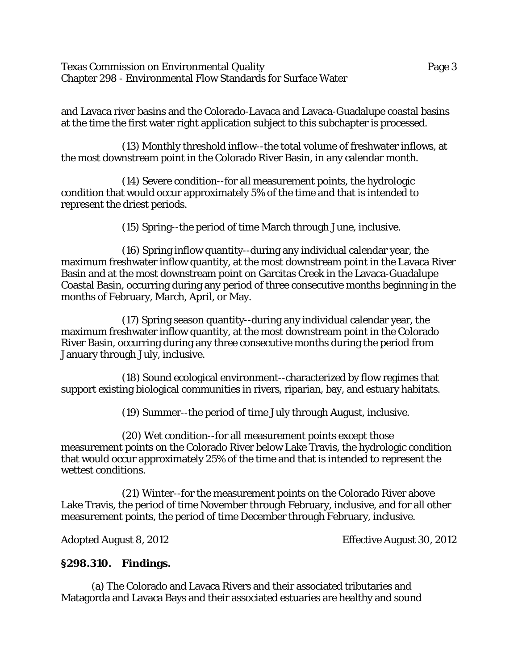Texas Commission on Environmental Quality Page 3 Chapter 298 - Environmental Flow Standards for Surface Water

and Lavaca river basins and the Colorado-Lavaca and Lavaca-Guadalupe coastal basins at the time the first water right application subject to this subchapter is processed.

(13) Monthly threshold inflow--the total volume of freshwater inflows, at the most downstream point in the Colorado River Basin, in any calendar month.

(14) Severe condition--for all measurement points, the hydrologic condition that would occur approximately 5% of the time and that is intended to represent the driest periods.

(15) Spring--the period of time March through June, inclusive.

(16) Spring inflow quantity--during any individual calendar year, the maximum freshwater inflow quantity, at the most downstream point in the Lavaca River Basin and at the most downstream point on Garcitas Creek in the Lavaca-Guadalupe Coastal Basin, occurring during any period of three consecutive months beginning in the months of February, March, April, or May.

(17) Spring season quantity--during any individual calendar year, the maximum freshwater inflow quantity, at the most downstream point in the Colorado River Basin, occurring during any three consecutive months during the period from January through July, inclusive.

(18) Sound ecological environment--characterized by flow regimes that support existing biological communities in rivers, riparian, bay, and estuary habitats.

(19) Summer--the period of time July through August, inclusive.

(20) Wet condition--for all measurement points except those measurement points on the Colorado River below Lake Travis, the hydrologic condition that would occur approximately 25% of the time and that is intended to represent the wettest conditions.

(21) Winter--for the measurement points on the Colorado River above Lake Travis, the period of time November through February, inclusive, and for all other measurement points, the period of time December through February, inclusive.

Adopted August 8, 2012 **Effective August 30, 2012** 

### **§298.310. Findings.**

(a) The Colorado and Lavaca Rivers and their associated tributaries and Matagorda and Lavaca Bays and their associated estuaries are healthy and sound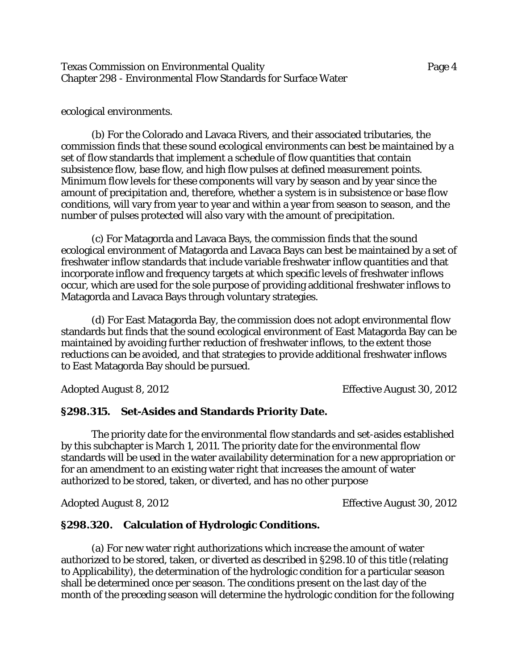Texas Commission on Environmental Quality Page 4 Chapter 298 - Environmental Flow Standards for Surface Water

ecological environments.

(b) For the Colorado and Lavaca Rivers, and their associated tributaries, the commission finds that these sound ecological environments can best be maintained by a set of flow standards that implement a schedule of flow quantities that contain subsistence flow, base flow, and high flow pulses at defined measurement points. Minimum flow levels for these components will vary by season and by year since the amount of precipitation and, therefore, whether a system is in subsistence or base flow conditions, will vary from year to year and within a year from season to season, and the number of pulses protected will also vary with the amount of precipitation.

(c) For Matagorda and Lavaca Bays, the commission finds that the sound ecological environment of Matagorda and Lavaca Bays can best be maintained by a set of freshwater inflow standards that include variable freshwater inflow quantities and that incorporate inflow and frequency targets at which specific levels of freshwater inflows occur, which are used for the sole purpose of providing additional freshwater inflows to Matagorda and Lavaca Bays through voluntary strategies.

(d) For East Matagorda Bay, the commission does not adopt environmental flow standards but finds that the sound ecological environment of East Matagorda Bay can be maintained by avoiding further reduction of freshwater inflows, to the extent those reductions can be avoided, and that strategies to provide additional freshwater inflows to East Matagorda Bay should be pursued.

Adopted August 8, 2012 **Effective August 30, 2012** 

#### **§298.315. Set-Asides and Standards Priority Date.**

The priority date for the environmental flow standards and set-asides established by this subchapter is March 1, 2011. The priority date for the environmental flow standards will be used in the water availability determination for a new appropriation or for an amendment to an existing water right that increases the amount of water authorized to be stored, taken, or diverted, and has no other purpose

Adopted August 8, 2012 Effective August 30, 2012

#### **§298.320. Calculation of Hydrologic Conditions.**

(a) For new water right authorizations which increase the amount of water authorized to be stored, taken, or diverted as described in §298.10 of this title (relating to Applicability), the determination of the hydrologic condition for a particular season shall be determined once per season. The conditions present on the last day of the month of the preceding season will determine the hydrologic condition for the following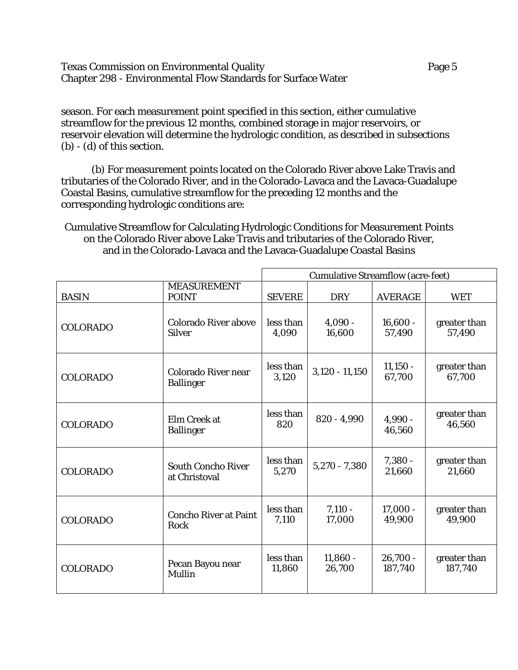Texas Commission on Environmental Quality **Page 5** Page 5 Chapter 298 - Environmental Flow Standards for Surface Water

season. For each measurement point specified in this section, either cumulative streamflow for the previous 12 months, combined storage in major reservoirs, or reservoir elevation will determine the hydrologic condition, as described in subsections (b) - (d) of this section.

(b) For measurement points located on the Colorado River above Lake Travis and tributaries of the Colorado River, and in the Colorado-Lavaca and the Lavaca-Guadalupe Coastal Basins, cumulative streamflow for the preceding 12 months and the corresponding hydrologic conditions are:

Cumulative Streamflow for Calculating Hydrologic Conditions for Measurement Points on the Colorado River above Lake Travis and tributaries of the Colorado River, and in the Colorado-Lavaca and the Lavaca-Guadalupe Coastal Basins

|                 |                                              | <b>Cumulative Streamflow (acre-feet)</b> |                      |                       |                         |  |
|-----------------|----------------------------------------------|------------------------------------------|----------------------|-----------------------|-------------------------|--|
| <b>BASIN</b>    | <b>MEASUREMENT</b><br><b>POINT</b>           | <b>SEVERE</b>                            | <b>DRY</b>           | <b>AVERAGE</b>        | <b>WET</b>              |  |
| <b>COLORADO</b> | <b>Colorado River above</b><br><b>Silver</b> | less than<br>4,090                       | $4,090 -$<br>16,600  | $16,600 -$<br>57,490  | greater than<br>57,490  |  |
| <b>COLORADO</b> | Colorado River near<br><b>Ballinger</b>      | less than<br>3,120                       | $3,120 - 11,150$     | $11,150 -$<br>67,700  | greater than<br>67,700  |  |
| <b>COLORADO</b> | Elm Creek at<br><b>Ballinger</b>             | less than<br>820                         | $820 - 4,990$        | $4,990 -$<br>46,560   | greater than<br>46,560  |  |
| <b>COLORADO</b> | <b>South Concho River</b><br>at Christoval   | less than<br>5,270                       | $5,270 - 7,380$      | $7,380 -$<br>21,660   | greater than<br>21,660  |  |
| <b>COLORADO</b> | <b>Concho River at Paint</b><br>Rock         | less than<br>7,110                       | $7,110 -$<br>17,000  | $17,000 -$<br>49,900  | greater than<br>49,900  |  |
| <b>COLORADO</b> | Pecan Bayou near<br>Mullin                   | less than<br>11,860                      | $11,860 -$<br>26,700 | $26,700 -$<br>187,740 | greater than<br>187,740 |  |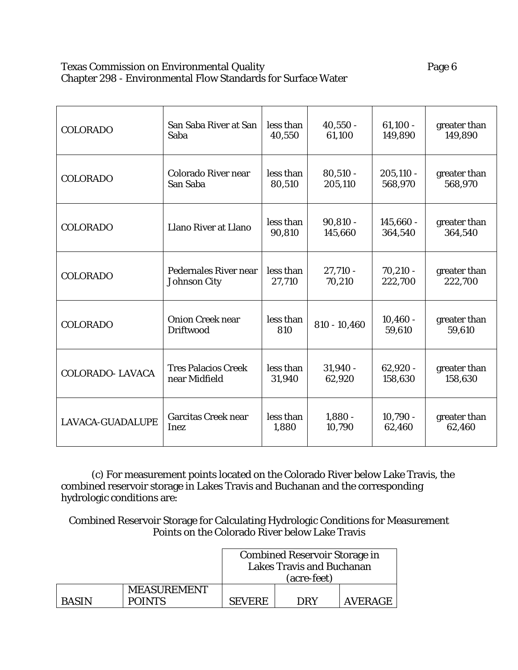### Texas Commission on Environmental Quality **Page 6** Chapter 298 - Environmental Flow Standards for Surface Water

| <b>COLORADO</b>         | San Saba River at San                | less than           | $40,550 -$            | $61,100 -$             | greater than            |
|-------------------------|--------------------------------------|---------------------|-----------------------|------------------------|-------------------------|
|                         | Saba                                 | 40,550              | 61,100                | 149,890                | 149,890                 |
| <b>COLORADO</b>         | <b>Colorado River near</b>           | less than           | $80,510 -$            | $205,110 -$            | greater than            |
|                         | San Saba                             | 80,510              | 205,110               | 568,970                | 568,970                 |
| <b>COLORADO</b>         | Llano River at Llano                 | less than<br>90,810 | $90,810 -$<br>145,660 | $145,660 -$<br>364,540 | greater than<br>364,540 |
| <b>COLORADO</b>         | <b>Pedernales River near</b>         | less than           | $27,710 -$            | $70,210 -$             | greater than            |
|                         | <b>Johnson City</b>                  | 27,710              | 70,210                | 222,700                | 222,700                 |
| <b>COLORADO</b>         | <b>Onion Creek near</b><br>Driftwood | less than<br>810    | $810 - 10,460$        | $10,460 -$<br>59,610   | greater than<br>59,610  |
| <b>COLORADO-LAVACA</b>  | <b>Tres Palacios Creek</b>           | less than           | $31,940 -$            | $62,920 -$             | greater than            |
|                         | near Midfield                        | 31,940              | 62,920                | 158,630                | 158,630                 |
| <b>LAVACA-GUADALUPE</b> | <b>Garcitas Creek near</b>           | less than           | $1,880 -$             | $10,790 -$             | greater than            |
|                         | Inez                                 | 1,880               | 10,790                | 62,460                 | 62,460                  |

(c) For measurement points located on the Colorado River below Lake Travis, the combined reservoir storage in Lakes Travis and Buchanan and the corresponding hydrologic conditions are:

Combined Reservoir Storage for Calculating Hydrologic Conditions for Measurement Points on the Colorado River below Lake Travis

|              |                    | <b>Combined Reservoir Storage in</b><br><b>Lakes Travis and Buchanan</b><br>(acre-feet) |  |  |  |  |
|--------------|--------------------|-----------------------------------------------------------------------------------------|--|--|--|--|
|              | <b>MEASUREMENT</b> |                                                                                         |  |  |  |  |
| <b>BASIN</b> | <b>POINTS</b>      | <b>AVERAGE</b><br><b>DRY</b><br>SEVERE.                                                 |  |  |  |  |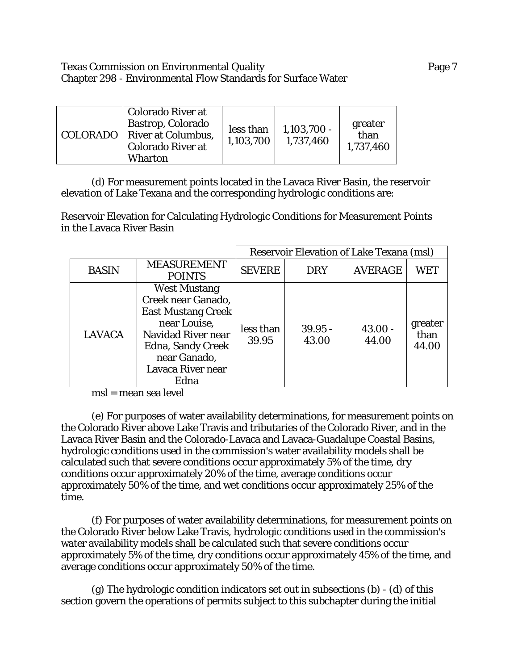### Texas Commission on Environmental Quality Page 7 Chapter 298 - Environmental Flow Standards for Surface Water

|  | <b>Colorado River at</b><br>Bastrop, Colorado<br>  COLORADO   River at Columbus,<br><b>Colorado River at</b><br><b>Wharton</b> | less than<br>1,103,700 | $1,103,700 -$<br>1,737,460 | greater<br>than<br>1,737,460 |
|--|--------------------------------------------------------------------------------------------------------------------------------|------------------------|----------------------------|------------------------------|
|--|--------------------------------------------------------------------------------------------------------------------------------|------------------------|----------------------------|------------------------------|

(d) For measurement points located in the Lavaca River Basin, the reservoir elevation of Lake Texana and the corresponding hydrologic conditions are:

Reservoir Elevation for Calculating Hydrologic Conditions for Measurement Points in the Lavaca River Basin

|               |                                                                                                                                                                                              | <b>Reservoir Elevation of Lake Texana (msl)</b> |                    |                    |                          |  |
|---------------|----------------------------------------------------------------------------------------------------------------------------------------------------------------------------------------------|-------------------------------------------------|--------------------|--------------------|--------------------------|--|
| <b>BASIN</b>  | <b>MEASUREMENT</b><br><b>POINTS</b>                                                                                                                                                          | <b>SEVERE</b>                                   | <b>DRY</b>         | <b>AVERAGE</b>     | WET                      |  |
| <b>LAVACA</b> | <b>West Mustang</b><br>Creek near Ganado,<br><b>East Mustang Creek</b><br>near Louise,<br><b>Navidad River near</b><br><b>Edna, Sandy Creek</b><br>near Ganado,<br>Lavaca River near<br>Edna | less than<br>39.95                              | $39.95 -$<br>43.00 | $43.00 -$<br>44.00 | greater<br>than<br>44.00 |  |

msl = mean sea level

(e) For purposes of water availability determinations, for measurement points on the Colorado River above Lake Travis and tributaries of the Colorado River, and in the Lavaca River Basin and the Colorado-Lavaca and Lavaca-Guadalupe Coastal Basins, hydrologic conditions used in the commission's water availability models shall be calculated such that severe conditions occur approximately 5% of the time, dry conditions occur approximately 20% of the time, average conditions occur approximately 50% of the time, and wet conditions occur approximately 25% of the time.

(f) For purposes of water availability determinations, for measurement points on the Colorado River below Lake Travis, hydrologic conditions used in the commission's water availability models shall be calculated such that severe conditions occur approximately 5% of the time, dry conditions occur approximately 45% of the time, and average conditions occur approximately 50% of the time.

(g) The hydrologic condition indicators set out in subsections (b) - (d) of this section govern the operations of permits subject to this subchapter during the initial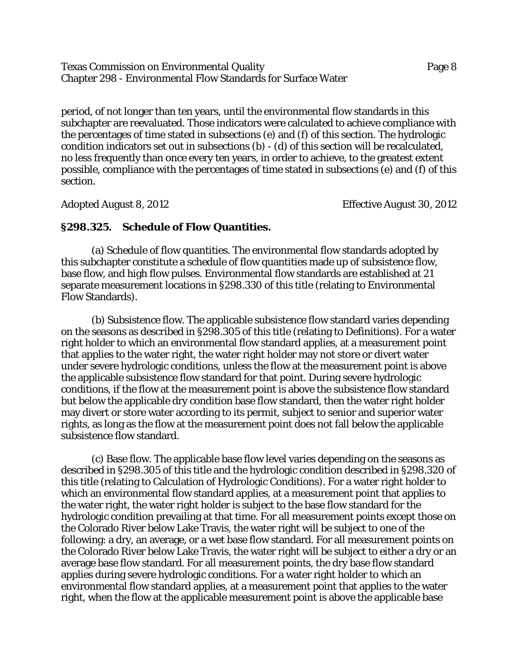#### Texas Commission on Environmental Quality Page 8 Chapter 298 - Environmental Flow Standards for Surface Water

period, of not longer than ten years, until the environmental flow standards in this subchapter are reevaluated. Those indicators were calculated to achieve compliance with the percentages of time stated in subsections (e) and (f) of this section. The hydrologic condition indicators set out in subsections (b) - (d) of this section will be recalculated, no less frequently than once every ten years, in order to achieve, to the greatest extent possible, compliance with the percentages of time stated in subsections (e) and (f) of this section.

Adopted August 8, 2012 Effective August 30, 2012

#### **§298.325. Schedule of Flow Quantities.**

(a) Schedule of flow quantities. The environmental flow standards adopted by this subchapter constitute a schedule of flow quantities made up of subsistence flow, base flow, and high flow pulses. Environmental flow standards are established at 21 separate measurement locations in §298.330 of this title (relating to Environmental Flow Standards).

(b) Subsistence flow. The applicable subsistence flow standard varies depending on the seasons as described in §298.305 of this title (relating to Definitions). For a water right holder to which an environmental flow standard applies, at a measurement point that applies to the water right, the water right holder may not store or divert water under severe hydrologic conditions, unless the flow at the measurement point is above the applicable subsistence flow standard for that point. During severe hydrologic conditions, if the flow at the measurement point is above the subsistence flow standard but below the applicable dry condition base flow standard, then the water right holder may divert or store water according to its permit, subject to senior and superior water rights, as long as the flow at the measurement point does not fall below the applicable subsistence flow standard.

(c) Base flow. The applicable base flow level varies depending on the seasons as described in §298.305 of this title and the hydrologic condition described in §298.320 of this title (relating to Calculation of Hydrologic Conditions). For a water right holder to which an environmental flow standard applies, at a measurement point that applies to the water right, the water right holder is subject to the base flow standard for the hydrologic condition prevailing at that time. For all measurement points except those on the Colorado River below Lake Travis, the water right will be subject to one of the following: a dry, an average, or a wet base flow standard. For all measurement points on the Colorado River below Lake Travis, the water right will be subject to either a dry or an average base flow standard. For all measurement points, the dry base flow standard applies during severe hydrologic conditions. For a water right holder to which an environmental flow standard applies, at a measurement point that applies to the water right, when the flow at the applicable measurement point is above the applicable base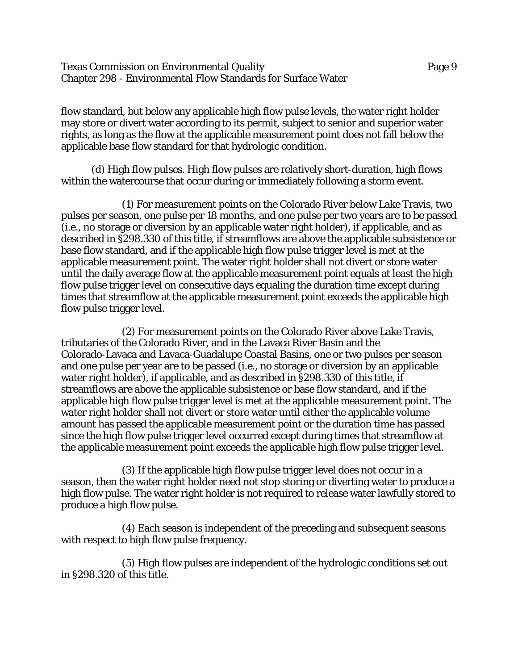Texas Commission on Environmental Quality Page 9 Chapter 298 - Environmental Flow Standards for Surface Water

flow standard, but below any applicable high flow pulse levels, the water right holder may store or divert water according to its permit, subject to senior and superior water rights, as long as the flow at the applicable measurement point does not fall below the applicable base flow standard for that hydrologic condition.

(d) High flow pulses. High flow pulses are relatively short-duration, high flows within the watercourse that occur during or immediately following a storm event.

(1) For measurement points on the Colorado River below Lake Travis, two pulses per season, one pulse per 18 months, and one pulse per two years are to be passed (i.e., no storage or diversion by an applicable water right holder), if applicable, and as described in §298.330 of this title, if streamflows are above the applicable subsistence or base flow standard, and if the applicable high flow pulse trigger level is met at the applicable measurement point. The water right holder shall not divert or store water until the daily average flow at the applicable measurement point equals at least the high flow pulse trigger level on consecutive days equaling the duration time except during times that streamflow at the applicable measurement point exceeds the applicable high flow pulse trigger level.

(2) For measurement points on the Colorado River above Lake Travis, tributaries of the Colorado River, and in the Lavaca River Basin and the Colorado-Lavaca and Lavaca-Guadalupe Coastal Basins, one or two pulses per season and one pulse per year are to be passed (i.e., no storage or diversion by an applicable water right holder), if applicable, and as described in §298.330 of this title, if streamflows are above the applicable subsistence or base flow standard, and if the applicable high flow pulse trigger level is met at the applicable measurement point. The water right holder shall not divert or store water until either the applicable volume amount has passed the applicable measurement point or the duration time has passed since the high flow pulse trigger level occurred except during times that streamflow at the applicable measurement point exceeds the applicable high flow pulse trigger level.

(3) If the applicable high flow pulse trigger level does not occur in a season, then the water right holder need not stop storing or diverting water to produce a high flow pulse. The water right holder is not required to release water lawfully stored to produce a high flow pulse.

(4) Each season is independent of the preceding and subsequent seasons with respect to high flow pulse frequency.

(5) High flow pulses are independent of the hydrologic conditions set out in §298.320 of this title.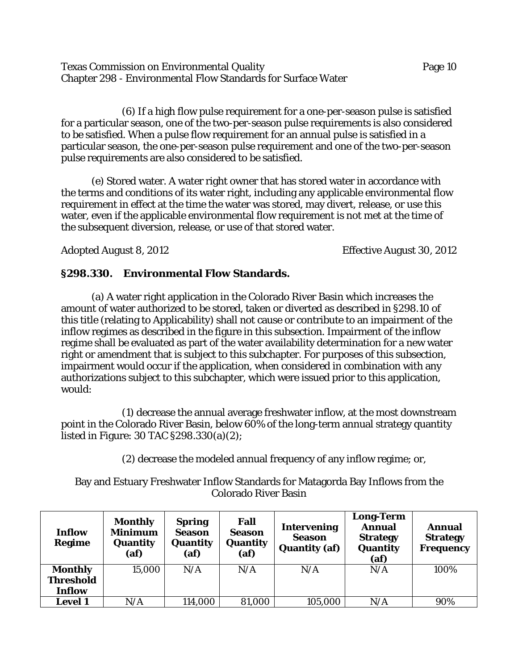Texas Commission on Environmental Quality Page 10 Chapter 298 - Environmental Flow Standards for Surface Water

(6) If a high flow pulse requirement for a one-per-season pulse is satisfied for a particular season, one of the two-per-season pulse requirements is also considered to be satisfied. When a pulse flow requirement for an annual pulse is satisfied in a particular season, the one-per-season pulse requirement and one of the two-per-season pulse requirements are also considered to be satisfied.

(e) Stored water. A water right owner that has stored water in accordance with the terms and conditions of its water right, including any applicable environmental flow requirement in effect at the time the water was stored, may divert, release, or use this water, even if the applicable environmental flow requirement is not met at the time of the subsequent diversion, release, or use of that stored water.

Adopted August 8, 2012 **Effective August 30, 2012** 

# **§298.330. Environmental Flow Standards.**

(a) A water right application in the Colorado River Basin which increases the amount of water authorized to be stored, taken or diverted as described in §298.10 of this title (relating to Applicability) shall not cause or contribute to an impairment of the inflow regimes as described in the figure in this subsection. Impairment of the inflow regime shall be evaluated as part of the water availability determination for a new water right or amendment that is subject to this subchapter. For purposes of this subsection, impairment would occur if the application, when considered in combination with any authorizations subject to this subchapter, which were issued prior to this application, would:

(1) decrease the annual average freshwater inflow, at the most downstream point in the Colorado River Basin, below 60% of the long-term annual strategy quantity listed in Figure: 30 TAC §298.330(a)(2);

(2) decrease the modeled annual frequency of any inflow regime; or,

Bay and Estuary Freshwater Inflow Standards for Matagorda Bay Inflows from the Colorado River Basin

| Inflow<br>Regime | <b>Monthly</b><br><b>Minimum</b><br>Quantity<br>(af) | <b>Spring</b><br><b>Season</b><br>Quantity<br>(af) | Fall<br><b>Season</b><br>Quantity<br>(a f) | <b>Intervening</b><br><b>Season</b><br><b>Quantity (af)</b> | <b>Long-Term</b><br><b>Annual</b><br><b>Strategy</b><br>Quantity<br>(af) | Annual<br><b>Strategy</b><br><b>Frequency</b> |
|------------------|------------------------------------------------------|----------------------------------------------------|--------------------------------------------|-------------------------------------------------------------|--------------------------------------------------------------------------|-----------------------------------------------|
| <b>Monthly</b>   | 15,000                                               | N/A                                                | N/A                                        | N/A                                                         | N/A                                                                      | 100%                                          |
| <b>Threshold</b> |                                                      |                                                    |                                            |                                                             |                                                                          |                                               |
| Inflow           |                                                      |                                                    |                                            |                                                             |                                                                          |                                               |
| <b>Level 1</b>   | N/A                                                  | 114,000                                            | 81,000                                     | 105,000                                                     | N/A                                                                      | 90%                                           |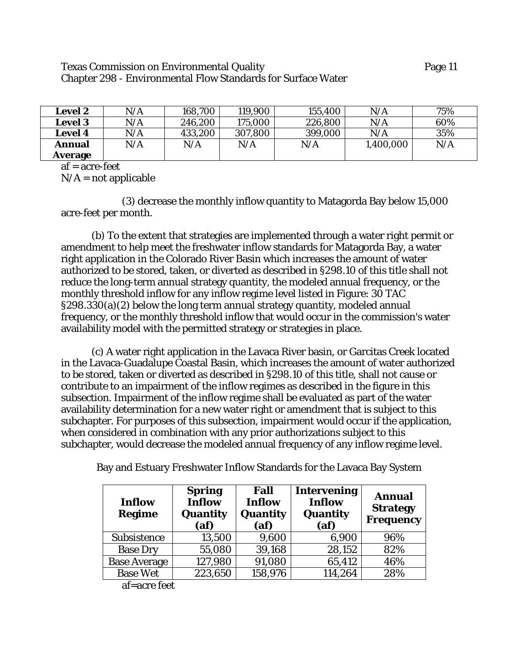#### Texas Commission on Environmental Quality Page 11 Chapter 298 - Environmental Flow Standards for Surface Water

| <b>Level 2</b> | N/A       | 168,700 | 119,900 | 155,400 | N/A                     | 75% |
|----------------|-----------|---------|---------|---------|-------------------------|-----|
| <b>Level 3</b> | $\rm N/A$ | 246,200 | 175,000 | 226,800 | $\mathrm{N}/\mathrm{A}$ | 60% |
| <b>Level 4</b> | N/A       | 433,200 | 307,800 | 399,000 | N/A                     | 35% |
| Annual         | N/A       | N/A     | N/A     | N/A     | 1,400,000               | N/A |
| Average        |           |         |         |         |                         |     |

 $af = acre-free$ 

 $N/A$  = not applicable

(3) decrease the monthly inflow quantity to Matagorda Bay below 15,000 acre-feet per month.

(b) To the extent that strategies are implemented through a water right permit or amendment to help meet the freshwater inflow standards for Matagorda Bay, a water right application in the Colorado River Basin which increases the amount of water authorized to be stored, taken, or diverted as described in §298.10 of this title shall not reduce the long-term annual strategy quantity, the modeled annual frequency, or the monthly threshold inflow for any inflow regime level listed in Figure: 30 TAC §298.330(a)(2) below the long term annual strategy quantity, modeled annual frequency, or the monthly threshold inflow that would occur in the commission's water availability model with the permitted strategy or strategies in place.

(c) A water right application in the Lavaca River basin, or Garcitas Creek located in the Lavaca-Guadalupe Coastal Basin, which increases the amount of water authorized to be stored, taken or diverted as described in §298.10 of this title, shall not cause or contribute to an impairment of the inflow regimes as described in the figure in this subsection. Impairment of the inflow regime shall be evaluated as part of the water availability determination for a new water right or amendment that is subject to this subchapter. For purposes of this subsection, impairment would occur if the application, when considered in combination with any prior authorizations subject to this subchapter, would decrease the modeled annual frequency of any inflow regime level.

| <b>Inflow</b><br><b>Regime</b>                    | <b>Spring</b><br><b>Inflow</b><br>Quantity<br>(a <sub>f</sub> ) | Fall<br><b>Inflow</b><br>Quantity<br>(a <b>f</b> ) | <b>Intervening</b><br><b>Inflow</b><br>Quantity<br>(af) | <b>Annual</b><br><b>Strategy</b><br><b>Frequency</b> |
|---------------------------------------------------|-----------------------------------------------------------------|----------------------------------------------------|---------------------------------------------------------|------------------------------------------------------|
| Subsistence                                       | 13,500                                                          | 9,600                                              | 6,900                                                   | 96%                                                  |
| <b>Base Dry</b>                                   | 55,080                                                          | 39,168                                             | 28,152                                                  | 82%                                                  |
| <b>Base Average</b>                               | 127,980                                                         | 91,080                                             | 65,412                                                  | 46%                                                  |
| <b>Base Wet</b><br>$\mathbf{r}$ .<br>$\mathbf{r}$ | 223,650                                                         | 158,976                                            | 114,264                                                 | 28%                                                  |

Bay and Estuary Freshwater Inflow Standards for the Lavaca Bay System

af=acre feet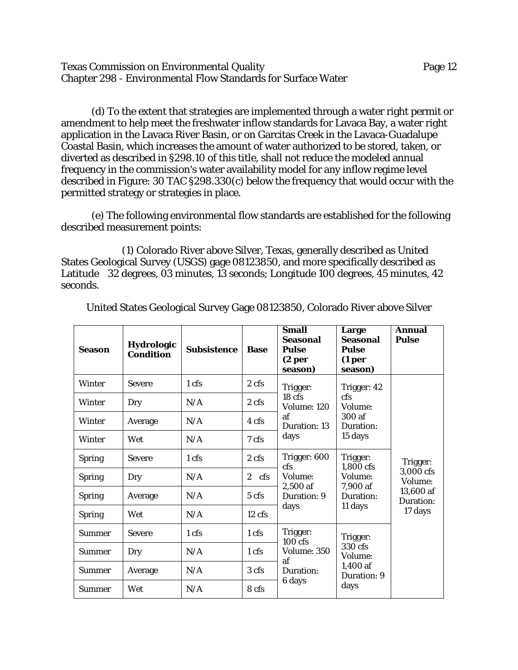Texas Commission on Environmental Quality Page 12 Chapter 298 - Environmental Flow Standards for Surface Water

(d) To the extent that strategies are implemented through a water right permit or amendment to help meet the freshwater inflow standards for Lavaca Bay, a water right application in the Lavaca River Basin, or on Garcitas Creek in the Lavaca-Guadalupe Coastal Basin, which increases the amount of water authorized to be stored, taken, or diverted as described in §298.10 of this title, shall not reduce the modeled annual frequency in the commission's water availability model for any inflow regime level described in Figure: 30 TAC §298.330(c) below the frequency that would occur with the permitted strategy or strategies in place.

(e) The following environmental flow standards are established for the following described measurement points:

(1) Colorado River above Silver, Texas, generally described as United States Geological Survey (USGS) gage 08123850, and more specifically described as Latitude 32 degrees, 03 minutes, 13 seconds; Longitude 100 degrees, 45 minutes, 42 seconds.

| <b>Season</b> | <b>Hydrologic</b><br><b>Condition</b> | <b>Subsistence</b> | <b>Base</b>           | <b>Small</b><br><b>Seasonal</b><br><b>Pulse</b><br>(2 <sub>per</sub> )<br>season) | Large<br><b>Seasonal</b><br><b>Pulse</b><br>(1 <sub>per</sub> )<br>season) | Annual<br><b>Pulse</b>                         |
|---------------|---------------------------------------|--------------------|-----------------------|-----------------------------------------------------------------------------------|----------------------------------------------------------------------------|------------------------------------------------|
| Winter        | <b>Severe</b>                         | 1 cfs              | 2 cfs                 | Trigger:                                                                          | Trigger: 42                                                                |                                                |
| Winter        | Dry                                   | N/A                | 2 cfs                 | 18 <sub>cfs</sub><br>Volume: 120                                                  | cfs<br>Volume:                                                             |                                                |
| <b>Winter</b> | Average                               | N/A                | 4 cfs                 | af<br>Duration: 13                                                                | 300 af<br>Duration:                                                        |                                                |
| <b>Winter</b> | Wet                                   | N/A                | 7 cfs                 | days                                                                              | 15 days                                                                    |                                                |
| <b>Spring</b> | <b>Severe</b>                         | 1 cfs              | 2 cfs                 | Trigger: 600<br>cfs                                                               | Trigger:<br>1,800 cfs                                                      | Trigger:                                       |
| <b>Spring</b> | Dry                                   | N/A                | $\overline{2}$<br>cfs | Volume:                                                                           | Volume:<br>7,900 af<br>$2,500$ af<br>Duration:<br>11 days                  | 3,000 cfs<br>Volume:<br>13,600 af<br>Duration: |
| <b>Spring</b> | Average                               | N/A                | 5 cfs                 | Duration: 9                                                                       |                                                                            |                                                |
| <b>Spring</b> | Wet                                   | N/A                | $12$ cfs              | days                                                                              |                                                                            | 17 days                                        |
| <b>Summer</b> | <b>Severe</b>                         | 1 cfs              | 1 cfs                 | Trigger:<br>$100$ cfs                                                             | Trigger:                                                                   |                                                |
| <b>Summer</b> | Dry                                   | N/A                | 1 cfs                 | Volume: 350                                                                       | 330 cfs<br>Volume:                                                         |                                                |
| <b>Summer</b> | Average                               | N/A                | 3 cfs                 | af<br>1,400 af<br>Duration:<br>Duration: 9<br>6 days<br>days                      |                                                                            |                                                |
| <b>Summer</b> | Wet                                   | N/A                | 8 cfs                 |                                                                                   |                                                                            |                                                |

United States Geological Survey Gage 08123850, Colorado River above Silver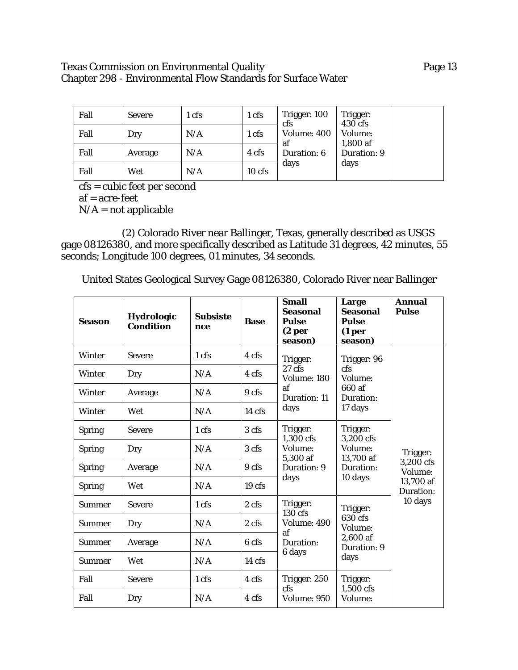# Texas Commission on Environmental Quality **Page 13** Page 13 Chapter 298 - Environmental Flow Standards for Surface Water

| Fall | <b>Severe</b> | 1 cfs | 1 cfs    | Trigger: 100<br>cfs | Trigger:<br>$430$ cfs |  |
|------|---------------|-------|----------|---------------------|-----------------------|--|
| Fall | Dry           | N/A   | 1 cfs    | Volume: 400         | Volume:<br>$1,800$ af |  |
| Fall | Average       | N/A   | 4 cfs    | at<br>Duration: 6   | Duration: 9           |  |
| Fall | Wet           | N/A   | $10$ cfs | days                | days                  |  |

cfs = cubic feet per second

af = acre-feet

 $N/A$  = not applicable

(2) Colorado River near Ballinger, Texas, generally described as USGS gage 08126380, and more specifically described as Latitude 31 degrees, 42 minutes, 55 seconds; Longitude 100 degrees, 01 minutes, 34 seconds.

United States Geological Survey Gage 08126380, Colorado River near Ballinger

| <b>Season</b> | <b>Hydrologic</b><br><b>Condition</b> | <b>Subsiste</b><br>nce | <b>Base</b>       | <b>Small</b><br><b>Seasonal</b><br><b>Pulse</b><br>(2 <sub>per</sub> )<br>season) | Large<br><b>Seasonal</b><br><b>Pulse</b><br>(1 <sub>per</sub> )<br>season) | <b>Annual</b><br><b>Pulse</b>                              |
|---------------|---------------------------------------|------------------------|-------------------|-----------------------------------------------------------------------------------|----------------------------------------------------------------------------|------------------------------------------------------------|
| Winter        | <b>Severe</b>                         | 1 cfs                  | 4 cfs             | Trigger:                                                                          | Trigger: 96                                                                |                                                            |
| Winter        | Dry                                   | N/A                    | 4 cfs             | 27 cfs<br>Volume: 180                                                             | cfs<br>Volume:                                                             |                                                            |
| Winter        | Average                               | N/A                    | 9 cfs             | af<br><b>Duration: 11</b>                                                         | 660 af<br>Duration:                                                        |                                                            |
| <b>Winter</b> | Wet                                   | N/A                    | $14 \text{ cfs}$  | days                                                                              | 17 days                                                                    | Trigger:<br>3,200 cfs<br>Volume:<br>13,700 af<br>Duration: |
| <b>Spring</b> | <b>Severe</b>                         | 1 cfs                  | 3 cfs             | Trigger:<br>1.300 cfs                                                             | Trigger:<br>3.200 cfs                                                      |                                                            |
| <b>Spring</b> | Dry                                   | N/A                    | 3 cfs             | Volume:                                                                           | Volume:                                                                    |                                                            |
| <b>Spring</b> | Average                               | N/A                    | 9 cfs             | 5,300 af<br>Duration: 9                                                           | 13,700 af<br>Duration:<br>10 days                                          |                                                            |
| <b>Spring</b> | Wet                                   | N/A                    | 19 <sub>cfs</sub> | days                                                                              |                                                                            |                                                            |
| <b>Summer</b> | <b>Severe</b>                         | 1 cfs                  | 2 cfs             | Trigger:<br>$130 \text{ cfs}$                                                     | Trigger:                                                                   | 10 days                                                    |
| <b>Summer</b> | Dry                                   | N/A                    | 2 cfs             | Volume: 490                                                                       | 630 cfs<br>Volume:<br>2,600 af<br>Duration: 9<br>days                      |                                                            |
| <b>Summer</b> | Average                               | N/A                    | 6 cfs             | af<br>Duration:<br>6 days                                                         |                                                                            |                                                            |
| <b>Summer</b> | Wet                                   | N/A                    | 14 cfs            |                                                                                   |                                                                            |                                                            |
| Fall          | <b>Severe</b>                         | 1 cfs                  | 4 cfs             | Trigger: 250                                                                      | Trigger:                                                                   |                                                            |
| Fall          | Dry                                   | N/A                    | 4 cfs             | cfs<br>Volume: 950                                                                | 1,500 cfs<br>Volume:                                                       |                                                            |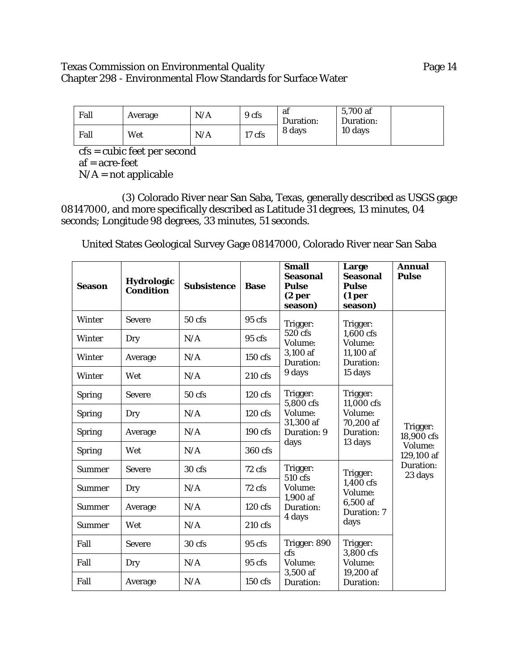# Texas Commission on Environmental Quality **Page 14** Chapter 298 - Environmental Flow Standards for Surface Water

| Fall | Average | N/A | 9 cfs  | af<br>Duration: | 5,700 af<br>Duration: |  |
|------|---------|-----|--------|-----------------|-----------------------|--|
| Fall | Wet     | N/A | 17 cfs | 8 days          | 10 days               |  |

cfs = cubic feet per second af = acre-feet  $N/A$  = not applicable

(3) Colorado River near San Saba, Texas, generally described as USGS gage 08147000, and more specifically described as Latitude 31 degrees, 13 minutes, 04 seconds; Longitude 98 degrees, 33 minutes, 51 seconds.

United States Geological Survey Gage 08147000, Colorado River near San Saba

| <b>Season</b> | Hydrologic<br><b>Condition</b> | <b>Subsistence</b> | <b>Base</b>       | <b>Small</b><br><b>Seasonal</b><br><b>Pulse</b><br>(2 <sub>per</sub> )<br>season) | Large<br><b>Seasonal</b><br><b>Pulse</b><br>(1 <sub>per</sub> )<br>season) | <b>Annual</b><br><b>Pulse</b>                                           |
|---------------|--------------------------------|--------------------|-------------------|-----------------------------------------------------------------------------------|----------------------------------------------------------------------------|-------------------------------------------------------------------------|
| <b>Winter</b> | <b>Severe</b>                  | 50 <sub>cfs</sub>  | $95 \text{ cfs}$  | Trigger:                                                                          | Trigger:                                                                   |                                                                         |
| Winter        | Dry                            | N/A                | 95 cfs            | 520 cfs<br>Volume:                                                                | 1,600 cfs<br>Volume:                                                       |                                                                         |
| Winter        | Average                        | N/A                | 150 cfs           | 3,100 af<br>Duration:                                                             | 11,100 af<br>Duration:<br>15 days                                          |                                                                         |
| Winter        | Wet                            | N/A                | $210$ cfs         | 9 days                                                                            |                                                                            |                                                                         |
| <b>Spring</b> | <b>Severe</b>                  | 50 cfs             | $120$ cfs         | Trigger:<br>5,800 cfs<br>Volume:<br>31,300 af<br>Duration: 9                      | Trigger:<br>11,000 cfs                                                     |                                                                         |
| <b>Spring</b> | Dry                            | N/A                | 120 cfs           |                                                                                   | Volume:                                                                    |                                                                         |
| <b>Spring</b> | Average                        | N/A                | $190 \text{ cfs}$ |                                                                                   | 70,200 af<br>Duration:<br>13 days                                          | Trigger:<br>18,900 cfs<br>Volume:<br>129,100 af<br>Duration:<br>23 days |
| <b>Spring</b> | Wet                            | N/A                | 360 cfs           | days                                                                              |                                                                            |                                                                         |
| <b>Summer</b> | <b>Severe</b>                  | 30 cfs             | 72 cfs            | Trigger:<br>510 cfs                                                               | Trigger:                                                                   |                                                                         |
| <b>Summer</b> | Dry                            | N/A                | 72 cfs            | Volume:                                                                           | 1,400 cfs<br>Volume:                                                       |                                                                         |
| <b>Summer</b> | Average                        | N/A                | $120$ cfs         | 1,900 af<br>Duration:<br>4 days                                                   | 6,500 af<br>Duration: 7                                                    |                                                                         |
| <b>Summer</b> | Wet                            | N/A                | 210 cfs           |                                                                                   | days                                                                       |                                                                         |
| Fall          | <b>Severe</b>                  | 30 cfs             | $95$ cfs          | Trigger: 890                                                                      | Trigger:                                                                   |                                                                         |
| Fall          | Dry                            | N/A                | $95 \text{ cfs}$  | cfs<br>Volume:<br>3,500 af<br>Duration:                                           | 3,800 cfs<br>Volume:                                                       |                                                                         |
| Fall          | Average                        | N/A                | $150$ cfs         |                                                                                   | 19,200 af<br>Duration:                                                     |                                                                         |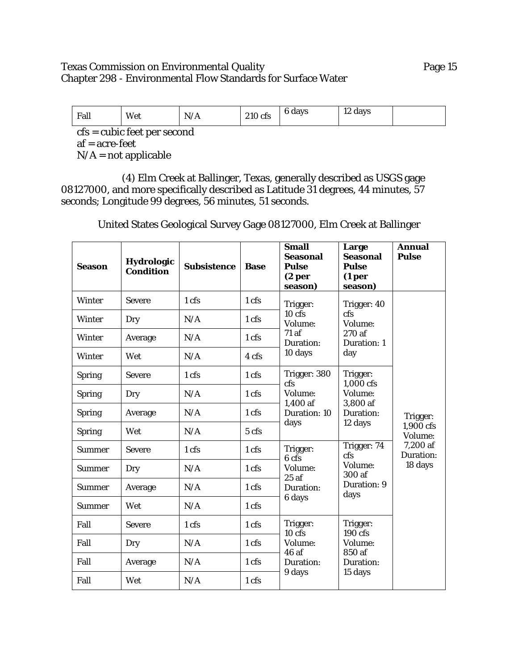# Texas Commission on Environmental Quality **Page 15** Chapter 298 - Environmental Flow Standards for Surface Water

| Fall | Wet                                             | N/A | 210 cfs | 6 days | 12 days |  |  |  |  |
|------|-------------------------------------------------|-----|---------|--------|---------|--|--|--|--|
|      | $\mathbf{cfs} = \mathbf{cubic}$ feet per second |     |         |        |         |  |  |  |  |

af = acre-feet

 $N/A$  = not applicable

(4) Elm Creek at Ballinger, Texas, generally described as USGS gage 08127000, and more specifically described as Latitude 31 degrees, 44 minutes, 57 seconds; Longitude 99 degrees, 56 minutes, 51 seconds.

United States Geological Survey Gage 08127000, Elm Creek at Ballinger

| <b>Season</b> | <b>Hydrologic</b><br><b>Condition</b> | <b>Subsistence</b> | <b>Base</b> | <b>Small</b><br><b>Seasonal</b><br><b>Pulse</b><br>(2 <sub>per</sub> )<br>season) | Large<br><b>Seasonal</b><br><b>Pulse</b><br>(1 <sub>per</sub> )<br>season) | <b>Annual</b><br><b>Pulse</b>                             |
|---------------|---------------------------------------|--------------------|-------------|-----------------------------------------------------------------------------------|----------------------------------------------------------------------------|-----------------------------------------------------------|
| Winter        | <b>Severe</b>                         | 1 cfs              | 1 cfs       | Trigger:                                                                          | Trigger: 40                                                                |                                                           |
| Winter        | Dry                                   | N/A                | 1 cfs       | 10 cfs<br>Volume:                                                                 | $\c{fs}$<br>Volume:                                                        |                                                           |
| Winter        | Average                               | N/A                | 1 cfs       | 71 af<br>Duration:                                                                | 270 af<br>Duration: 1                                                      |                                                           |
| Winter        | Wet                                   | N/A                | 4 cfs       | 10 days                                                                           | day                                                                        |                                                           |
| <b>Spring</b> | <b>Severe</b>                         | 1 cfs              | 1 cfs       | Trigger: 380<br><b>cfs</b>                                                        | Trigger:<br>1,000 cfs                                                      |                                                           |
| <b>Spring</b> | Dry                                   | N/A                | 1 cfs       | Volume:<br>Volume:<br>1,400 af<br>3,800 af<br>Duration: 10<br>Duration:           |                                                                            |                                                           |
| <b>Spring</b> | Average                               | N/A                | 1 cfs       |                                                                                   | 12 days<br>Trigger: 74<br>$\c{fs}$                                         | Trigger:<br>1,900 cfs<br>Volume:<br>7,200 af<br>Duration: |
| <b>Spring</b> | Wet                                   | N/A                | 5 cfs       | days                                                                              |                                                                            |                                                           |
| <b>Summer</b> | <b>Severe</b>                         | 1 cfs              | 1 cfs       | Trigger:<br>6 cfs                                                                 |                                                                            |                                                           |
| <b>Summer</b> | Dry                                   | N/A                | 1 cfs       | Volume:<br>25af                                                                   | Volume:<br>300 af                                                          | 18 days                                                   |
| <b>Summer</b> | Average                               | N/A                | 1 cfs       | Duration:                                                                         | Duration: 9<br>days                                                        |                                                           |
| <b>Summer</b> | Wet                                   | N/A                | 1 cfs       | 6 days                                                                            |                                                                            |                                                           |
| Fall          | <b>Severe</b>                         | 1 cfs              | 1 cfs       | Trigger:<br>$10$ cfs                                                              | Trigger:<br>$190$ cfs                                                      |                                                           |
| Fall          | Dry                                   | N/A                | 1 cfs       | Volume:<br>46af                                                                   | Volume:                                                                    |                                                           |
| Fall          | Average                               | N/A                | 1 cfs       | Duration:                                                                         | 850 af<br>Duration:<br>15 days                                             |                                                           |
| Fall          | Wet                                   | N/A                | 1 cfs       | 9 days                                                                            |                                                                            |                                                           |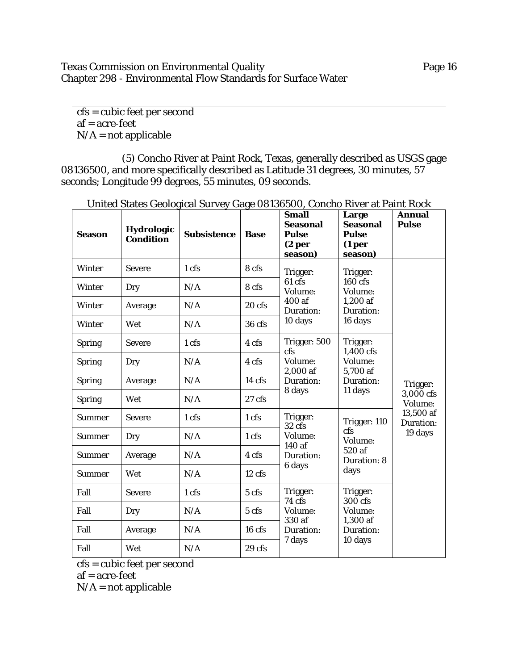# Texas Commission on Environmental Quality **Page 16** Chapter 298 - Environmental Flow Standards for Surface Water

cfs = cubic feet per second af = acre-feet  $N/A$  = not applicable

(5) Concho River at Paint Rock, Texas, generally described as USGS gage 08136500, and more specifically described as Latitude 31 degrees, 30 minutes, 57 seconds; Longitude 99 degrees, 55 minutes, 09 seconds.

| <b>Season</b> | Hydrologic<br><b>Condition</b> | <b>Subsistence</b> | <b>Base</b>      | <b>Small</b><br><b>Seasonal</b><br><b>Pulse</b><br>(2 <sub>per</sub> )<br>season)                       | Large<br><b>Seasonal</b><br><b>Pulse</b><br>(1 <sub>per</sub> )<br>season) | <b>Annual</b><br><b>Pulse</b>                              |
|---------------|--------------------------------|--------------------|------------------|---------------------------------------------------------------------------------------------------------|----------------------------------------------------------------------------|------------------------------------------------------------|
| <b>Winter</b> | <b>Severe</b>                  | 1 cfs              | 8 cfs            | Trigger:                                                                                                | Trigger:                                                                   |                                                            |
| Winter        | Dry                            | N/A                | 8 cfs            | $61 \overline{\text{cfs}}$<br>Volume:                                                                   | $160$ cfs<br>Volume:                                                       |                                                            |
| Winter        | Average                        | N/A                | 20 cfs           | 400af<br>Duration:                                                                                      | $1,200$ af<br>Duration:                                                    | Trigger:<br>3,000 cfs<br>Volume:<br>13,500 af<br>Duration: |
| Winter        | Wet                            | N/A                | 36 cfs           | 10 days                                                                                                 | 16 days                                                                    |                                                            |
| <b>Spring</b> | <b>Severe</b>                  | 1 cfs              | 4 cfs            | Trigger: 500<br>Trigger:<br>1,400 cfs<br>cfs<br>Volume:<br>Volume:<br>2,000 af<br>5.700 af<br>Duration: |                                                                            |                                                            |
| <b>Spring</b> | Dry                            | N/A                | 4 cfs            |                                                                                                         |                                                                            |                                                            |
| <b>Spring</b> | Average                        | N/A                | 14 cfs           |                                                                                                         | Duration:<br>11 days                                                       |                                                            |
| <b>Spring</b> | Wet                            | N/A                | $27$ cfs         | 8 days                                                                                                  |                                                                            |                                                            |
| <b>Summer</b> | <b>Severe</b>                  | 1 cfs              | 1 cfs            | Trigger:<br>32 <sub>cfs</sub>                                                                           | Trigger: 110                                                               |                                                            |
| Summer        | Dry                            | N/A                | 1 cfs            | Volume:<br>140 af                                                                                       | cfs<br>Volume:                                                             | 19 days                                                    |
| <b>Summer</b> | Average                        | N/A                | 4 cfs            | Duration:                                                                                               | 520 af<br>Duration: 8                                                      |                                                            |
| <b>Summer</b> | Wet                            | N/A                | 12 cfs           | 6 days                                                                                                  | days                                                                       |                                                            |
| Fall          | <b>Severe</b>                  | 1 cfs              | 5 cfs            | Trigger:<br>74 cfs                                                                                      | Trigger:<br>300 cfs                                                        |                                                            |
| Fall          | Dry                            | N/A                | 5 cfs            | Volume:                                                                                                 | Volume:                                                                    |                                                            |
| Fall          | Average                        | N/A                | 16 <sub>cf</sub> | 330 af<br>Duration:                                                                                     | 1,300 af<br>Duration:                                                      |                                                            |
| Fall          | Wet                            | N/A                | 29 <sub>cs</sub> | 7 days                                                                                                  | 10 days                                                                    |                                                            |

United States Geological Survey Gage 08136500, Concho River at Paint Rock

cfs = cubic feet per second

af = acre-feet

 $N/A$  = not applicable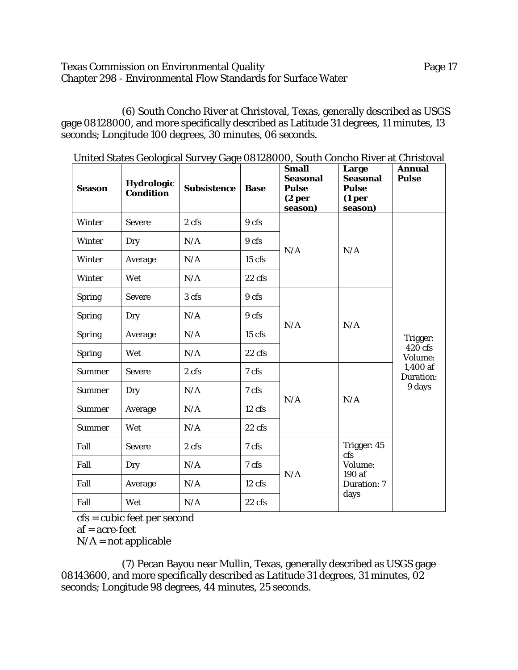### Texas Commission on Environmental Quality **Page 17** Page 17 Chapter 298 - Environmental Flow Standards for Surface Water

(6) South Concho River at Christoval, Texas, generally described as USGS gage 08128000, and more specifically described as Latitude 31 degrees, 11 minutes, 13 seconds; Longitude 100 degrees, 30 minutes, 06 seconds.

| <b>Season</b> | <b>Hydrologic</b><br><b>Condition</b> | United States Geological Survey Gage OO120000, South Control Kiver at Unitstoval<br><b>Subsistence</b> | <b>Base</b>      | <b>Small</b><br><b>Seasonal</b><br><b>Pulse</b><br>(2 <sub>per</sub> )<br>season) | Large<br><b>Seasonal</b><br><b>Pulse</b><br>(1 <sub>per</sub> )<br>season) | <b>Annual</b><br><b>Pulse</b>                                     |
|---------------|---------------------------------------|--------------------------------------------------------------------------------------------------------|------------------|-----------------------------------------------------------------------------------|----------------------------------------------------------------------------|-------------------------------------------------------------------|
| <b>Winter</b> | <b>Severe</b>                         | 2 cfs                                                                                                  | 9 cfs            |                                                                                   |                                                                            |                                                                   |
| Winter        | Dry                                   | N/A                                                                                                    | 9 cfs            | N/A                                                                               |                                                                            | Trigger:<br>420 cfs<br>Volume:<br>1,400 af<br>Duration:<br>9 days |
| <b>Winter</b> | Average                               | N/A                                                                                                    | $15$ cfs         |                                                                                   | N/A                                                                        |                                                                   |
| <b>Winter</b> | Wet                                   | N/A                                                                                                    | $22 \text{ cfs}$ |                                                                                   |                                                                            |                                                                   |
| <b>Spring</b> | <b>Severe</b>                         | 3 cfs                                                                                                  | 9 cfs            |                                                                                   | N/A                                                                        |                                                                   |
| <b>Spring</b> | Dry                                   | N/A                                                                                                    | 9 cfs            | N/A                                                                               |                                                                            |                                                                   |
| <b>Spring</b> | Average                               | N/A                                                                                                    | 15 cfs           |                                                                                   |                                                                            |                                                                   |
| <b>Spring</b> | Wet                                   | N/A                                                                                                    | 22 cfs           |                                                                                   |                                                                            |                                                                   |
| <b>Summer</b> | <b>Severe</b>                         | 2 cfs                                                                                                  | 7 cfs            |                                                                                   |                                                                            |                                                                   |
| <b>Summer</b> | Dry                                   | N/A                                                                                                    | 7 cfs            | N/A                                                                               |                                                                            |                                                                   |
| <b>Summer</b> | Average                               | N/A                                                                                                    | 12 cfs           |                                                                                   | N/A                                                                        |                                                                   |
| <b>Summer</b> | Wet                                   | N/A                                                                                                    | $22 \text{ cfs}$ |                                                                                   |                                                                            |                                                                   |
| Fall          | <b>Severe</b>                         | 2 cfs                                                                                                  | 7 cfs            |                                                                                   | Trigger: 45<br>cfs                                                         |                                                                   |
| Fall          | Dry                                   | N/A                                                                                                    | 7 cfs            |                                                                                   | Volume:                                                                    |                                                                   |
| Fall          | Average                               | N/A                                                                                                    | 12 cfs           | N/A                                                                               | 190 af<br><b>Duration: 7</b><br>days                                       |                                                                   |
| Fall          | Wet                                   | N/A                                                                                                    | $22$ cfs         |                                                                                   |                                                                            |                                                                   |

United States Geological Survey Gage 08128000, South Concho River at Christoval

cfs = cubic feet per second

af = acre-feet

 $N/A$  = not applicable

(7) Pecan Bayou near Mullin, Texas, generally described as USGS gage 08143600, and more specifically described as Latitude 31 degrees, 31 minutes, 02 seconds; Longitude 98 degrees, 44 minutes, 25 seconds.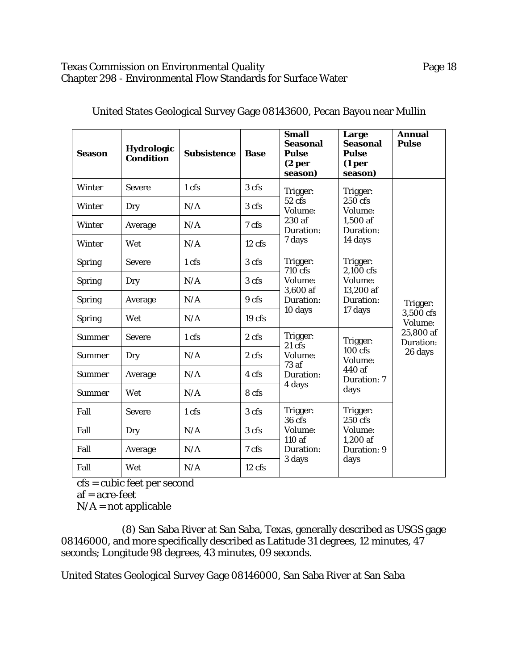# Texas Commission on Environmental Quality **Page 18** Chapter 298 - Environmental Flow Standards for Surface Water

| <b>Season</b> | <b>Hydrologic</b><br><b>Condition</b> | <b>Subsistence</b> | <b>Base</b>       | <b>Small</b><br><b>Seasonal</b><br><b>Pulse</b><br>(2 <sub>per</sub> )<br>season) | Large<br><b>Seasonal</b><br><b>Pulse</b><br>(1 <sub>per</sub> )<br>season)       | <b>Annual</b><br><b>Pulse</b>                              |
|---------------|---------------------------------------|--------------------|-------------------|-----------------------------------------------------------------------------------|----------------------------------------------------------------------------------|------------------------------------------------------------|
| <b>Winter</b> | <b>Severe</b>                         | 1 cfs              | 3 cfs             | Trigger:                                                                          | Trigger:                                                                         |                                                            |
| <b>Winter</b> | Dry                                   | N/A                | 3 cfs             | 52 cfs<br>Volume:                                                                 | 250 cfs<br>Volume:                                                               | Trigger:<br>3,500 cfs<br>Volume:<br>25,800 af<br>Duration: |
| Winter        | Average                               | N/A                | 7 cfs             | 230 af<br>Duration:                                                               | 1,500 af<br>Duration:                                                            |                                                            |
| Winter        | Wet                                   | N/A                | 12 cfs            | 7 days                                                                            | 14 days                                                                          |                                                            |
| <b>Spring</b> | <b>Severe</b>                         | 1 cfs              | 3 cfs             | Trigger:<br>710 cfs                                                               | Trigger:<br>2,100 cfs                                                            |                                                            |
| <b>Spring</b> | Dry                                   | N/A                | 3 cfs             | Volume:                                                                           | Volume:<br>3,600 af<br>13,200 af<br>Duration:<br>Duration:<br>17 days<br>10 days |                                                            |
| <b>Spring</b> | Average                               | N/A                | 9 cfs             |                                                                                   |                                                                                  |                                                            |
| <b>Spring</b> | Wet                                   | N/A                | 19 <sub>cfs</sub> |                                                                                   |                                                                                  |                                                            |
| Summer        | <b>Severe</b>                         | 1 cfs              | 2 <sub>cfs</sub>  | Trigger:<br>$21 \text{ cfs}$                                                      | Trigger:                                                                         |                                                            |
| <b>Summer</b> | Dry                                   | N/A                | 2 <sub>cfs</sub>  | Volume:                                                                           | $100$ cfs<br>Volume:                                                             | 26 days                                                    |
| Summer        | Average                               | N/A                | 4 cfs             | 73af<br>Duration:                                                                 | 440 af<br><b>Duration: 7</b>                                                     |                                                            |
| <b>Summer</b> | Wet                                   | N/A                | 8 cfs             | 4 days                                                                            | days                                                                             |                                                            |
| Fall          | <b>Severe</b>                         | 1 cfs              | 3 cfs             | Trigger:<br>36 cfs                                                                | Trigger:<br>250 cfs                                                              |                                                            |
| Fall          | Dry                                   | N/A                | 3 cfs             | Volume:                                                                           | Volume:                                                                          |                                                            |
| Fall          | Average                               | N/A                | 7 cfs             | 110 af<br>Duration:                                                               | $1,200$ af<br>Duration: 9                                                        |                                                            |
| Fall          | Wet                                   | N/A                | 12 cfs            | 3 days                                                                            | days                                                                             |                                                            |

United States Geological Survey Gage 08143600, Pecan Bayou near Mullin

cfs = cubic feet per second

af = acre-feet

 $N/A$  = not applicable

(8) San Saba River at San Saba, Texas, generally described as USGS gage 08146000, and more specifically described as Latitude 31 degrees, 12 minutes, 47 seconds; Longitude 98 degrees, 43 minutes, 09 seconds.

United States Geological Survey Gage 08146000, San Saba River at San Saba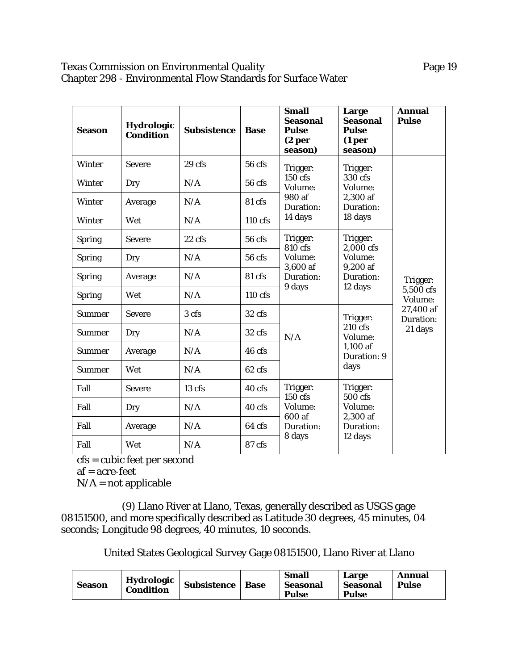### Texas Commission on Environmental Quality **Page 19** Page 19 Chapter 298 - Environmental Flow Standards for Surface Water

| <b>Season</b> | <b>Hydrologic</b><br><b>Condition</b> | <b>Subsistence</b> | <b>Base</b>       | <b>Small</b><br><b>Seasonal</b><br><b>Pulse</b><br>(2 <sub>per</sub> )<br>season)                                    | Large<br><b>Seasonal</b><br><b>Pulse</b><br>(1 <sub>per</sub> )<br>season) | <b>Annual</b><br><b>Pulse</b>                                         |
|---------------|---------------------------------------|--------------------|-------------------|----------------------------------------------------------------------------------------------------------------------|----------------------------------------------------------------------------|-----------------------------------------------------------------------|
| <b>Winter</b> | <b>Severe</b>                         | 29 <sub>cfs</sub>  | 56 cfs            | Trigger:                                                                                                             | Trigger:                                                                   |                                                                       |
| <b>Winter</b> | Dry                                   | N/A                | 56 cfs            | 150 cfs<br>Volume:                                                                                                   | 330 cfs<br>Volume:                                                         |                                                                       |
| Winter        | Average                               | N/A                | 81 cfs            | 980 af<br>Duration:                                                                                                  | 2,300 af<br>Duration:                                                      |                                                                       |
| <b>Winter</b> | Wet                                   | N/A                | $110 \text{ cfs}$ | 14 days                                                                                                              | 18 days                                                                    |                                                                       |
| <b>Spring</b> | <b>Severe</b>                         | $22$ cfs           | 56 cfs            | Trigger:<br>Trigger:<br>810 cfs<br>2,000 cfs<br>Volume:<br>Volume:<br>3,600 af<br>9,200 af<br>Duration:<br>Duration: |                                                                            |                                                                       |
| <b>Spring</b> | Dry                                   | N/A                | 56 cfs            |                                                                                                                      |                                                                            |                                                                       |
| <b>Spring</b> | Average                               | N/A                | 81 cfs            |                                                                                                                      | 12 days                                                                    | Trigger:<br>5,500 cfs<br>Volume:<br>27,400 af<br>Duration:<br>21 days |
| <b>Spring</b> | Wet                                   | N/A                | $110 \text{ cfs}$ | 9 days                                                                                                               |                                                                            |                                                                       |
| <b>Summer</b> | <b>Severe</b>                         | 3 cfs              | 32 cfs            |                                                                                                                      | Trigger:<br>$210$ cfs<br>Volume:                                           |                                                                       |
| <b>Summer</b> | Dry                                   | N/A                | $32 \text{ cfs}$  | N/A                                                                                                                  |                                                                            |                                                                       |
| <b>Summer</b> | Average                               | N/A                | 46 cfs            |                                                                                                                      | 1,100 af<br>Duration: 9                                                    |                                                                       |
| <b>Summer</b> | Wet                                   | N/A                | $62 \text{ cfs}$  |                                                                                                                      | days                                                                       |                                                                       |
| Fall          | <b>Severe</b>                         | 13 cfs             | 40 cfs            | Trigger:<br>150 cfs                                                                                                  | Trigger:<br>500 cfs                                                        |                                                                       |
| Fall          | Dry                                   | N/A                | $40$ cfs          | Volume:                                                                                                              | Volume:                                                                    |                                                                       |
| Fall          | Average                               | N/A                | 64 cfs            | 600 af<br>Duration:                                                                                                  | 2,300 af<br>Duration:<br>12 days                                           |                                                                       |
| Fall          | Wet                                   | N/A                | 87 cfs            | 8 days                                                                                                               |                                                                            |                                                                       |

cfs = cubic feet per second

af = acre-feet

 $N/A$  = not applicable

(9) Llano River at Llano, Texas, generally described as USGS gage 08151500, and more specifically described as Latitude 30 degrees, 45 minutes, 04 seconds; Longitude 98 degrees, 40 minutes, 10 seconds.

United States Geological Survey Gage 08151500, Llano River at Llano

| <b>Season</b> | Hydrologic '<br><b>Condition</b> | <b>Subsistence</b> | <b>Base</b> | <b>Small</b><br><b>Seasonal</b><br><b>Pulse</b> | Large<br><b>Seasonal</b><br><b>Pulse</b> | Annual<br><b>Pulse</b> |
|---------------|----------------------------------|--------------------|-------------|-------------------------------------------------|------------------------------------------|------------------------|
|---------------|----------------------------------|--------------------|-------------|-------------------------------------------------|------------------------------------------|------------------------|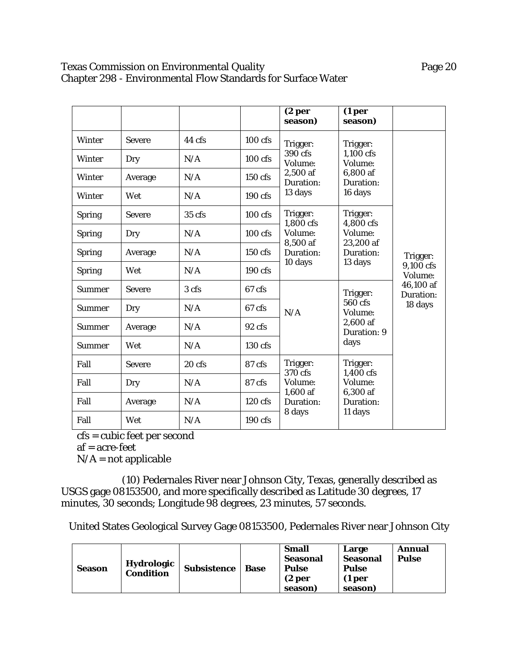# Texas Commission on Environmental Quality **Page 20** Page 20 Chapter 298 - Environmental Flow Standards for Surface Water

|               |               |          |                   | (2 <sub>per</sub> )<br>season)                                       | (1 <sub>per</sub> )<br>season)               |                                                            |
|---------------|---------------|----------|-------------------|----------------------------------------------------------------------|----------------------------------------------|------------------------------------------------------------|
| <b>Winter</b> | <b>Severe</b> | 44 cfs   | 100 cfs           | Trigger:                                                             | Trigger:                                     |                                                            |
| <b>Winter</b> | Dry           | N/A      | $100$ cfs         | 390 cfs<br>Volume:<br>2,500 af<br>Duration:<br>13 days               | $1,100$ cfs<br>Volume:                       |                                                            |
| Winter        | Average       | N/A      | 150 cfs           |                                                                      | 6,800 af<br>Duration:                        |                                                            |
| <b>Winter</b> | Wet           | N/A      | $190 \text{ cfs}$ |                                                                      | 16 days                                      |                                                            |
| <b>Spring</b> | <b>Severe</b> | 35 cfs   | $100$ cfs         | Trigger:<br>1,800 cfs<br>Volume:<br>8,500 af<br>Duration:<br>10 days | Trigger:<br>4,800 cfs                        |                                                            |
| <b>Spring</b> | Dry           | N/A      | 100 cfs           |                                                                      | Volume:<br>23,200 af<br>Duration:<br>13 days | Trigger:<br>9,100 cfs<br>Volume:<br>46,100 af<br>Duration: |
| <b>Spring</b> | Average       | N/A      | 150 cfs           |                                                                      |                                              |                                                            |
| <b>Spring</b> | Wet           | N/A      | $190 \text{ cfs}$ |                                                                      |                                              |                                                            |
| <b>Summer</b> | <b>Severe</b> | 3 cfs    | 67 cfs            |                                                                      | Trigger:                                     |                                                            |
| Summer        | Dry           | N/A      | 67 cfs            | N/A                                                                  | 560 cfs<br>Volume:                           | 18 days                                                    |
| Summer        | Average       | N/A      | $92 \text{ cfs}$  |                                                                      | 2,600 af<br><b>Duration: 9</b>               |                                                            |
| <b>Summer</b> | Wet           | N/A      | 130 cfs           |                                                                      | days                                         |                                                            |
| Fall          | <b>Severe</b> | $20$ cfs | 87 cfs            | Trigger:<br>370 cfs                                                  | Trigger:<br>1,400 cfs                        |                                                            |
| Fall          | Dry           | N/A      | 87 cfs            | Volume:                                                              | Volume:                                      |                                                            |
| Fall          | Average       | N/A      | $120$ cfs         | 1,600 af<br>Duration:                                                | 6,300 af<br>Duration:                        |                                                            |
| Fall          | Wet           | N/A      | 190 cfs           | 8 days                                                               | 11 days                                      |                                                            |

cfs = cubic feet per second

af = acre-feet

 $N/A$  = not applicable

(10) Pedernales River near Johnson City, Texas, generally described as USGS gage 08153500, and more specifically described as Latitude 30 degrees, 17 minutes, 30 seconds; Longitude 98 degrees, 23 minutes, 57 seconds.

United States Geological Survey Gage 08153500, Pedernales River near Johnson City

| <b>Season</b> | Hydrologic<br><b>Condition</b> | Subsistence | <b>Base</b> | <b>Small</b><br>Seasonal<br>Pulse<br>(2 <sub>per</sub> )<br>seasonl | Large<br><b>Seasonal</b><br><b>Pulse</b><br>(1 <sub>per</sub> )<br>season) | Annual<br><b>Pulse</b> |
|---------------|--------------------------------|-------------|-------------|---------------------------------------------------------------------|----------------------------------------------------------------------------|------------------------|
|---------------|--------------------------------|-------------|-------------|---------------------------------------------------------------------|----------------------------------------------------------------------------|------------------------|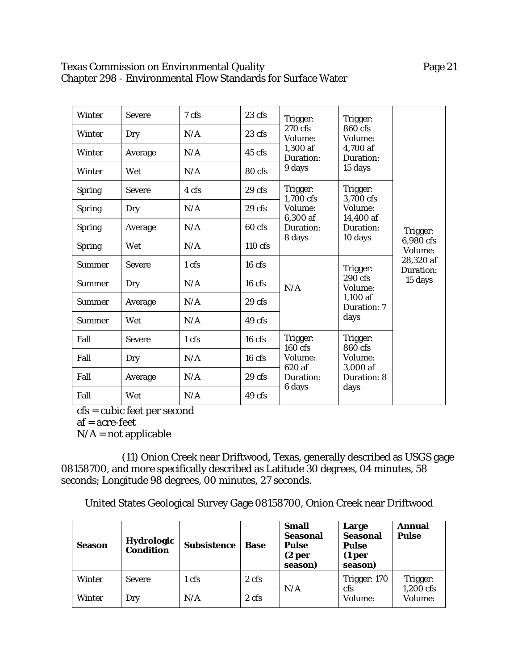# Texas Commission on Environmental Quality **Page 21** Page 21 Chapter 298 - Environmental Flow Standards for Surface Water

| Winter        | <b>Severe</b> | 7 cfs | 23 cfs            | Trigger:                        | Trigger:                          |                                  |
|---------------|---------------|-------|-------------------|---------------------------------|-----------------------------------|----------------------------------|
| Winter        | Dry           | N/A   | $23 \text{ cfs}$  | 270 cfs<br>Volume:              | 860 cfs<br>Volume:                |                                  |
| Winter        | Average       | N/A   | 45 cfs            | 1,300 af<br>Duration:           | 4,700 af<br>Duration:             |                                  |
| Winter        | Wet           | N/A   | 80 cfs            | 9 days                          | 15 days                           |                                  |
| <b>Spring</b> | <b>Severe</b> | 4 cfs | 29 cfs            | Trigger:<br>1,700 cfs           | Trigger:<br>3,700 cfs             |                                  |
| <b>Spring</b> | Dry           | N/A   | 29 <sub>cfs</sub> | Volume:                         | Volume:                           | Trigger:<br>6,980 cfs<br>Volume: |
| <b>Spring</b> | Average       | N/A   | 60 cfs            | 6,300 af<br>Duration:<br>8 days | 14,400 af<br>Duration:<br>10 days |                                  |
| <b>Spring</b> | Wet           | N/A   | 110 cfs           |                                 |                                   |                                  |
| <b>Summer</b> | <b>Severe</b> | 1 cfs | $16$ cfs          |                                 | Trigger:                          | 28,320 af<br>Duration:           |
| <b>Summer</b> | Dry           | N/A   | 16 <sub>cf</sub>  | N/A                             | 290 cfs<br>Volume:                | 15 days                          |
| Summer        | Average       | N/A   | 29 cfs            |                                 | $1,100$ af<br><b>Duration: 7</b>  |                                  |
| <b>Summer</b> | Wet           | N/A   | 49 cfs            |                                 | days                              |                                  |
| Fall          | <b>Severe</b> | 1 cfs | $16 \text{ cfs}$  | Trigger:<br>$160$ cfs           | Trigger:<br>$860$ cfs             |                                  |
| Fall          | Dry           | N/A   | 16 cfs            | Volume:                         | Volume:                           |                                  |
| Fall          | Average       | N/A   | 29 cfs            | 620 af<br>Duration:             | 3,000 af<br>Duration: 8           |                                  |
| Fall          | Wet           | N/A   | 49 cfs            | 6 days                          | days                              |                                  |

cfs = cubic feet per second

af = acre-feet

 $N/A$  = not applicable

(11) Onion Creek near Driftwood, Texas, generally described as USGS gage 08158700, and more specifically described as Latitude 30 degrees, 04 minutes, 58 seconds; Longitude 98 degrees, 00 minutes, 27 seconds.

United States Geological Survey Gage 08158700, Onion Creek near Driftwood

| <b>Season</b> | <b>Hydrologic</b><br><b>Condition</b> | <b>Subsistence</b> | <b>Base</b> | <b>Small</b><br><b>Seasonal</b><br><b>Pulse</b><br>(2 per<br>season) | Large<br><b>Seasonal</b><br><b>Pulse</b><br>(1 <sub>per</sub> )<br>season) | <b>Annual</b><br><b>Pulse</b> |
|---------------|---------------------------------------|--------------------|-------------|----------------------------------------------------------------------|----------------------------------------------------------------------------|-------------------------------|
| Winter        | <b>Severe</b>                         | 1 cfs              | 2 cfs       | N/A                                                                  | Trigger: 170<br>cfs                                                        | Trigger:<br>1,200 cfs         |
| Winter        | Dry                                   | N/A                | 2 cfs       |                                                                      | Volume:                                                                    | Volume:                       |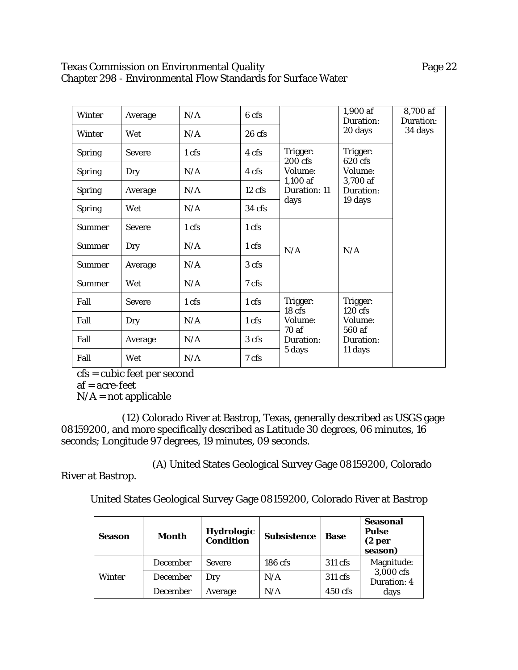### Texas Commission on Environmental Quality **Page 22** Chapter 298 - Environmental Flow Standards for Surface Water

| Winter        | Average       | N/A             | 6 cfs            |                               | 1,900 af<br>Duration: | 8,700 af<br>Duration: |
|---------------|---------------|-----------------|------------------|-------------------------------|-----------------------|-----------------------|
| <b>Winter</b> | Wet           | N/A             | $26$ cfs         |                               | 20 days               | 34 days               |
| <b>Spring</b> | <b>Severe</b> | 1 cfs           | 4 cfs            | Trigger:<br>$200 \text{ cfs}$ | Trigger:<br>620 cfs   |                       |
| <b>Spring</b> | Dry           | N/A             | 4 cfs            | Volume:                       | Volume:               |                       |
| <b>Spring</b> | Average       | N/A             | $12 \text{ cfs}$ | $1,100$ af<br>Duration: 11    | 3,700 af<br>Duration: |                       |
| <b>Spring</b> | Wet           | N/A             | 34 cfs           | days                          | 19 days               |                       |
| <b>Summer</b> | <b>Severe</b> | 1 cfs           | 1 cfs            |                               |                       |                       |
| <b>Summer</b> | Dry           | N/A             | $1 \text{ cfs}$  | N/A                           | N/A                   |                       |
| Summer        | Average       | N/A             | 3 cfs            |                               |                       |                       |
| <b>Summer</b> | Wet           | N/A             | 7 cfs            |                               |                       |                       |
| Fall          | <b>Severe</b> | 1 <sub>cf</sub> | $1 \text{ cfs}$  | Trigger:<br>18 cfs            | Trigger:<br>$120$ cfs |                       |
| Fall          | Dry           | N/A             | 1 cfs            | Volume:                       | Volume:               |                       |
| Fall          | Average       | N/A             | 3 cfs            | 70 af<br>Duration:            | 560 af<br>Duration:   |                       |
| Fall          | Wet           | N/A             | 7 cfs            | 5 days                        | 11 days               |                       |

cfs = cubic feet per second

af = acre-feet

River at Bastrop.

 $N/A$  = not applicable

(12) Colorado River at Bastrop, Texas, generally described as USGS gage 08159200, and more specifically described as Latitude 30 degrees, 06 minutes, 16 seconds; Longitude 97 degrees, 19 minutes, 09 seconds.

(A) United States Geological Survey Gage 08159200, Colorado

United States Geological Survey Gage 08159200, Colorado River at Bastrop

| Season | Month    | Hydrologic<br><b>Condition</b> | <b>Subsistence</b> | <b>Base</b> | <b>Seasonal</b><br><b>Pulse</b><br>(2 <sub>per</sub> )<br>season) |  |
|--------|----------|--------------------------------|--------------------|-------------|-------------------------------------------------------------------|--|
| Winter | December | <b>Severe</b>                  | $186 \text{ cfs}$  | 311 cfs     | Magnitude:                                                        |  |
|        | December | Drv                            | N/A                | 311 cfs     | 3,000 cfs<br>Duration: 4                                          |  |
|        | December | Average                        | N/A                | $450$ cfs   | days                                                              |  |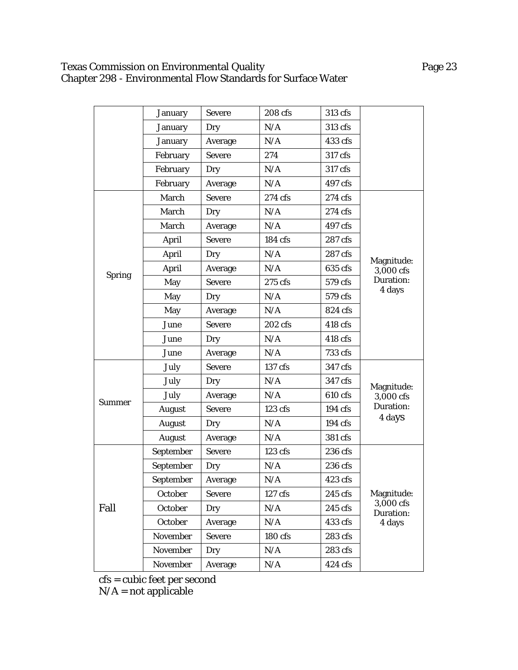### Texas Commission on Environmental Quality Page 23 Chapter 298 - Environmental Flow Standards for Surface Water

|               | <b>January</b> | <b>Severe</b> | 208 cfs   | 313 cfs |                         |
|---------------|----------------|---------------|-----------|---------|-------------------------|
|               | <b>January</b> | Dry           | N/A       | 313 cfs |                         |
|               | <b>January</b> | Average       | N/A       | 433 cfs |                         |
|               | February       | <b>Severe</b> | 274       | 317 cfs |                         |
|               | February       | Dry           | N/A       | 317 cfs |                         |
|               | February       | Average       | N/A       | 497 cfs |                         |
|               | March          | <b>Severe</b> | 274 cfs   | 274 cfs |                         |
|               | March          | Dry           | N/A       | 274 cfs |                         |
|               | March          | Average       | $\rm N/A$ | 497 cfs |                         |
|               | April          | <b>Severe</b> | 184 cfs   | 287 cfs |                         |
|               | April          | Dry           | N/A       | 287 cfs |                         |
|               | April          | Average       | N/A       | 635 cfs | Magnitude:<br>3,000 cfs |
| <b>Spring</b> | May            | <b>Severe</b> | 275 cfs   | 579 cfs | Duration:               |
|               | May            | Dry           | N/A       | 579 cfs | 4 days                  |
|               | May            | Average       | N/A       | 824 cfs |                         |
|               | June           | <b>Severe</b> | 202 cfs   | 418 cfs |                         |
|               | June           | Dry           | N/A       | 418 cfs |                         |
|               | June           | Average       | N/A       | 733 cfs |                         |
|               | July           | <b>Severe</b> | 137 cfs   | 347 cfs |                         |
|               | July           | Dry           | N/A       | 347 cfs | Magnitude:              |
|               | July           | Average       | N/A       | 610 cfs | 3,000 cfs               |
| <b>Summer</b> | August         | <b>Severe</b> | $123$ cfs | 194 cfs | Duration:               |
|               | <b>August</b>  | Dry           | N/A       | 194 cfs | 4 days                  |
|               | <b>August</b>  | Average       | N/A       | 381 cfs |                         |
|               | September      | <b>Severe</b> | 123 cfs   | 236 cfs |                         |
|               | September      | Dry           | N/A       | 236 cfs |                         |
|               | September      | Average       | N/A       | 423 cfs |                         |
|               | October        | <b>Severe</b> | 127 cfs   | 245 cfs | Magnitude:              |
| Fall          | October        | Dry           | N/A       | 245 cfs | 3,000 cfs<br>Duration:  |
|               | October        | Average       | N/A       | 433 cfs | 4 days                  |
|               | November       | <b>Severe</b> | 180 cfs   | 283 cfs |                         |
|               | November       | Dry           | N/A       | 283 cfs |                         |
|               | November       | Average       | N/A       | 424 cfs |                         |

cfs = cubic feet per second

 $N/A$  = not applicable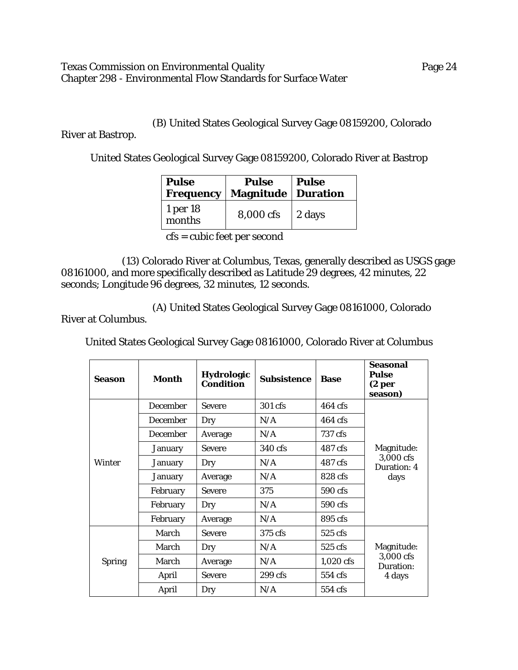### Texas Commission on Environmental Quality **Page 24** Chapter 298 - Environmental Flow Standards for Surface Water

(B) United States Geological Survey Gage 08159200, Colorado

River at Bastrop.

United States Geological Survey Gage 08159200, Colorado River at Bastrop

| <b>Pulse</b><br><b>Frequency</b> | <b>Pulse</b><br><b>Magnitude   Duration</b> | <b>Pulse</b> |
|----------------------------------|---------------------------------------------|--------------|
| 1 per 18<br>months               | 8,000 cfs                                   | 2 days       |

cfs = cubic feet per second

(13) Colorado River at Columbus, Texas, generally described as USGS gage 08161000, and more specifically described as Latitude 29 degrees, 42 minutes, 22 seconds; Longitude 96 degrees, 32 minutes, 12 seconds.

(A) United States Geological Survey Gage 08161000, Colorado River at Columbus.

United States Geological Survey Gage 08161000, Colorado River at Columbus

| Season        | <b>Month</b>    | Hydrologic<br><b>Condition</b> | <b>Subsistence</b> | <b>Base</b> | <b>Seasonal</b><br><b>Pulse</b><br>(2 <sub>per</sub> )<br>season) |  |
|---------------|-----------------|--------------------------------|--------------------|-------------|-------------------------------------------------------------------|--|
|               | December        | <b>Severe</b>                  | 301 cfs            | 464 cfs     |                                                                   |  |
|               | December        | Dry                            | N/A                | $464$ cfs   |                                                                   |  |
|               | <b>December</b> | Average                        | N/A                | 737 cfs     |                                                                   |  |
|               | <b>January</b>  | <b>Severe</b>                  | 340 cfs            | 487 cfs     | Magnitude:                                                        |  |
| Winter        | <b>January</b>  | Dry                            | N/A                | 487 cfs     | 3,000 cfs<br>Duration: 4<br>days                                  |  |
|               | <b>January</b>  | Average                        | N/A                | 828 cfs     |                                                                   |  |
|               | February        | <b>Severe</b>                  | 375                | 590 cfs     |                                                                   |  |
|               | February        | Dry                            | N/A                | 590 cfs     |                                                                   |  |
|               | February        | Average                        | N/A                | 895 cfs     |                                                                   |  |
|               | March           | <b>Severe</b>                  | 375 cfs            | $525$ cfs   |                                                                   |  |
|               | March           | Dry                            | N/A                | 525 cfs     | Magnitude:                                                        |  |
| <b>Spring</b> | March           | Average                        | N/A                | $1,020$ cfs | 3,000 cfs<br>Duration:                                            |  |
|               | April           | <b>Severe</b>                  | $299$ cfs          | 554 cfs     | 4 days                                                            |  |
|               | April           | Dry                            | N/A                | 554 cfs     |                                                                   |  |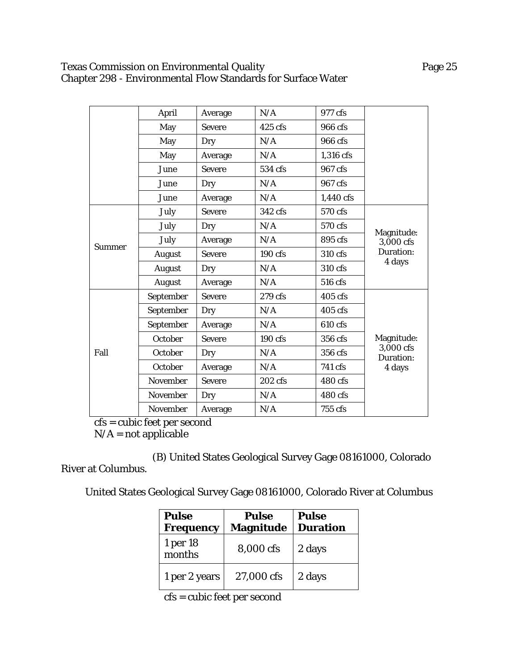# Texas Commission on Environmental Quality **Page 25** Chapter 298 - Environmental Flow Standards for Surface Water

|               | April         | Average       | N/A     | 977 cfs   |                          |
|---------------|---------------|---------------|---------|-----------|--------------------------|
|               | May           | <b>Severe</b> | 425 cfs | 966 cfs   |                          |
|               | May           | Dry           | N/A     | 966 cfs   |                          |
|               | May           | Average       | N/A     | 1,316 cfs |                          |
|               | June          | <b>Severe</b> | 534 cfs | 967 cfs   |                          |
|               | June          | Dry           | N/A     | 967 cfs   |                          |
|               | June          | Average       | N/A     | 1,440 cfs |                          |
|               | July          | <b>Severe</b> | 342 cfs | 570 cfs   |                          |
|               | July          | Dry           | N/A     | 570 cfs   |                          |
|               | July          | Average       | N/A     | 895 cfs   | Magnitude:<br>3,000 cfs  |
| <b>Summer</b> | <b>August</b> | <b>Severe</b> | 190 cfs | 310 cfs   | Duration:                |
|               | <b>August</b> | Dry           | N/A     | 310 cfs   | 4 days                   |
|               | <b>August</b> | Average       | N/A     | 516 cfs   |                          |
|               | September     | <b>Severe</b> | 279 cfs | 405 cfs   |                          |
|               | September     | Dry           | N/A     | 405 cfs   |                          |
|               | September     | Average       | N/A     | 610 cfs   |                          |
|               | October       | <b>Severe</b> | 190 cfs | 356 cfs   | Magnitude:               |
| Fall          | October       | Dry           | N/A     | 356 cfs   | $3,000$ cfs<br>Duration: |
|               | October       | Average       | N/A     | 741 cfs   | 4 days                   |
|               | November      | <b>Severe</b> | 202 cfs | 480 cfs   |                          |
|               | November      | Dry           | N/A     | 480 cfs   |                          |
|               | November      | Average       | N/A     | 755 cfs   |                          |

cfs = cubic feet per second

 $N/A = not$  applicable

(B) United States Geological Survey Gage 08161000, Colorado River at Columbus.

United States Geological Survey Gage 08161000, Colorado River at Columbus

| <b>Pulse</b><br><b>Frequency</b> | <b>Pulse</b><br><b>Magnitude</b> | Pulse<br><b>Duration</b> |  |
|----------------------------------|----------------------------------|--------------------------|--|
| 1 per 18<br>months               | 8,000 cfs                        | 2 days                   |  |
| 1 per 2 years                    | 27,000 cfs                       | 2 days                   |  |

cfs = cubic feet per second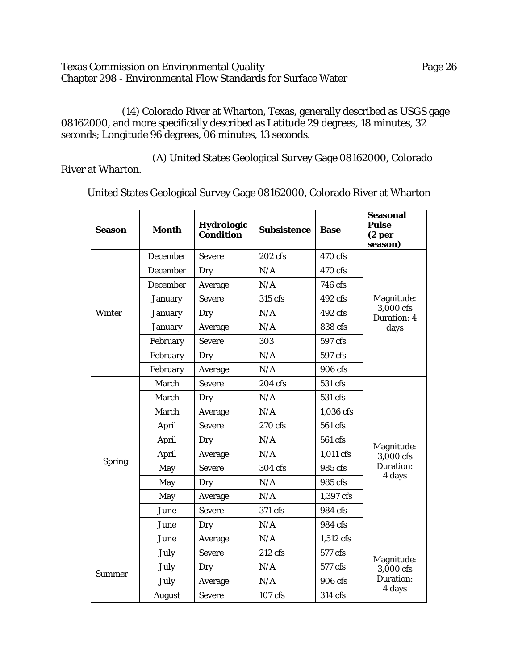Texas Commission on Environmental Quality **Page 26** Chapter 298 - Environmental Flow Standards for Surface Water

(14) Colorado River at Wharton, Texas, generally described as USGS gage 08162000, and more specifically described as Latitude 29 degrees, 18 minutes, 32 seconds; Longitude 96 degrees, 06 minutes, 13 seconds.

(A) United States Geological Survey Gage 08162000, Colorado River at Wharton.

**Season Month Hydrologic Condition Subsistence Base Seasonal Pulse (2 per season)** Winter December Severe 202 cfs 470 cfs Magnitude:  $3,000$  cfs Duration: 4 days December Dry  $N/A$  470 cfs December Average N/A 746 cfs January Severe 315 cfs 492 cfs January  $Dry$   $N/A$   $492 \text{ cfs}$ January  $Average \tN/A \t838 cfs$ February Severe 303 597 cfs February  $Dry$   $N/A$  597 cfs February Average  $N/A$  906 cfs Spring March Severe 204 cfs 531 cfs Magnitude: 3,000 cfs Duration: 4 days March  $Dry$   $N/A$  531 cfs March | Average | N/A | 1,036 cfs April Severe 270 cfs 561 cfs April Dry N/A 561 cfs April | Average | N/A | 1,011 cfs May Severe 304 cfs 985 cfs May  $Dry$   $N/A$  985 cfs May Average  $N/A$  1,397 cfs June Severe 371 cfs 984 cfs June  $Dry$   $N/A$  984 cfs June Average N/A 1,512 cfs Summer July Severe 212 cfs 577 cfs Magnitude: 3,000 cfs Duration: 4 days July  $Dry$   $N/A$   $577 \text{ cfs}$ July Average N/A 906 cfs August Severe 107 cfs 314 cfs

United States Geological Survey Gage 08162000, Colorado River at Wharton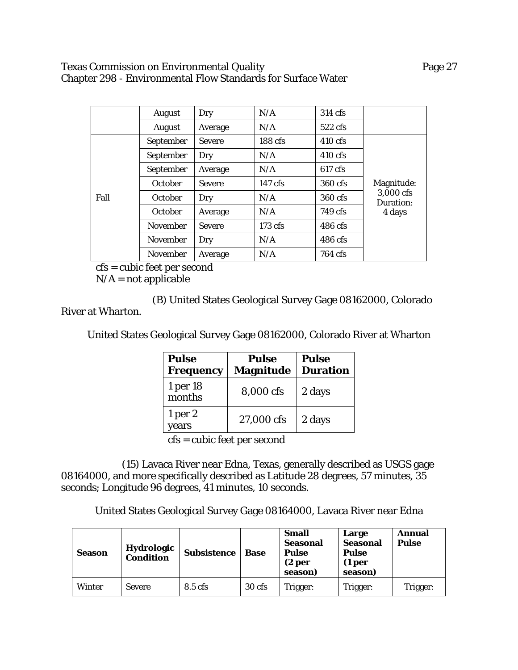#### Texas Commission on Environmental Quality **Page 27** Page 27 Chapter 298 - Environmental Flow Standards for Surface Water

|      | August          | Dry           | N/A       | 314 cfs           |                        |
|------|-----------------|---------------|-----------|-------------------|------------------------|
|      | August          | Average       | N/A       | $522 \text{ cfs}$ |                        |
|      | September       | <b>Severe</b> | 188 cfs   | $410 \text{ cfs}$ |                        |
|      | September       | Dry           | N/A       | $410 \text{ cfs}$ |                        |
|      | September       | Average       | N/A       | 617 cfs           |                        |
|      | October         | <b>Severe</b> | $147$ cfs | 360 cfs           | Magnitude:             |
| Fall | October         | Dry           | N/A       | 360 cfs           | 3,000 cfs<br>Duration: |
|      | October         | Average       | N/A       | 749 cfs           | 4 days                 |
|      | <b>November</b> | <b>Severe</b> | 173 cfs   | 486 cfs           |                        |
|      | <b>November</b> | Dry           | N/A       | 486 cfs           |                        |
|      | <b>November</b> | Average       | N/A       | 764 cfs           |                        |

cfs = cubic feet per second

 $N/A$  = not applicable

(B) United States Geological Survey Gage 08162000, Colorado

River at Wharton.

United States Geological Survey Gage 08162000, Colorado River at Wharton

| <b>Pulse</b><br><b>Frequency</b> | <b>Pulse</b><br><b>Magnitude</b> | <b>Pulse</b><br><b>Duration</b> |
|----------------------------------|----------------------------------|---------------------------------|
| 1 per 18<br>months               | 8,000 cfs                        | 2 days                          |
| 1 <sub>per</sub> 2<br>years      | 27,000 cfs                       | 2 days                          |

cfs = cubic feet per second

(15) Lavaca River near Edna, Texas, generally described as USGS gage 08164000, and more specifically described as Latitude 28 degrees, 57 minutes, 35 seconds; Longitude 96 degrees, 41 minutes, 10 seconds.

United States Geological Survey Gage 08164000, Lavaca River near Edna

| <b>Season</b> | Hydrologic<br><b>Condition</b> | <b>Subsistence</b> | <b>Base</b> | <b>Small</b><br>Seasonal<br><b>Pulse</b><br>(2 per<br>season) | Large<br>Seasonal<br><b>Pulse</b><br>(1 <sub>per</sub> )<br>season) | <b>Annual</b><br><b>Pulse</b> |
|---------------|--------------------------------|--------------------|-------------|---------------------------------------------------------------|---------------------------------------------------------------------|-------------------------------|
| <b>Winter</b> | <b>Severe</b>                  | 8.5 cfs            | 30 cfs      | Trigger:                                                      | Trigger:                                                            | Trigger:                      |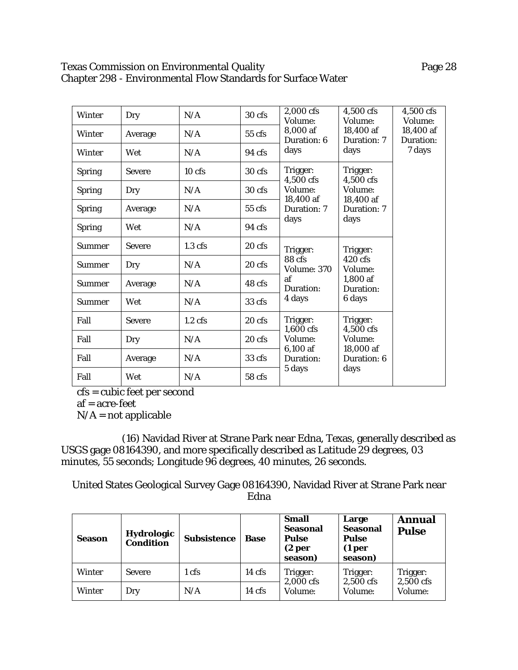# Texas Commission on Environmental Quality **Page 28** Page 28 Chapter 298 - Environmental Flow Standards for Surface Water

| <b>Winter</b> | Dry           | N/A       | 30 cfs           | 2,000 cfs<br>Volume:            | 4,500 cfs<br>Volume:             | 4,500 cfs<br>Volume:   |
|---------------|---------------|-----------|------------------|---------------------------------|----------------------------------|------------------------|
| <b>Winter</b> | Average       | N/A       | 55 cfs           | 8,000 af<br>Duration: 6         | 18,400 af<br>Duration: 7         | 18,400 af<br>Duration: |
| <b>Winter</b> | Wet           | N/A       | $94 \text{ cfs}$ | days                            | days                             | 7 days                 |
| <b>Spring</b> | <b>Severe</b> | $10$ cfs  | 30 <sub>cf</sub> | Trigger:<br>4,500 cfs           | Trigger:<br>4,500 cfs            |                        |
| <b>Spring</b> | Dry           | N/A       | 30 cfs           | Volume:<br>18,400 af            | Volume:                          |                        |
| <b>Spring</b> | Average       | N/A       | $55$ cfs         | Duration: 7                     | 18,400 af<br>Duration: 7<br>days |                        |
| <b>Spring</b> | Wet           | N/A       | $94 \text{ cfs}$ | days                            |                                  |                        |
| <b>Summer</b> | <b>Severe</b> | $1.3$ cfs | 20 cfs           | Trigger:                        | Trigger:                         |                        |
| <b>Summer</b> | Dry           | N/A       | 20 cfs           | 88 cfs<br>Volume: 370           | $420 \text{ cfs}$<br>Volume:     |                        |
| <b>Summer</b> | Average       | N/A       | 48 cfs           | af<br>Duration:                 | 1,800 af<br>Duration:<br>6 days  |                        |
| <b>Summer</b> | Wet           | N/A       | 33 cfs           | 4 days                          |                                  |                        |
| Fall          | <b>Severe</b> | $1.2$ cfs | $20$ cfs         | Trigger:<br>$1,600$ cfs         | Trigger:<br>4,500 cfs            |                        |
| Fall          | Dry           | N/A       | $20 \text{ cfs}$ | Volume:                         | Volume:                          |                        |
| Fall          | Average       | N/A       | 33 cfs           | 6,100 af<br>Duration:<br>5 days | 18,000 af<br>Duration: 6<br>days |                        |
| Fall          | Wet           | N/A       | 58 cfs           |                                 |                                  |                        |

cfs = cubic feet per second

af = acre-feet

 $N/A$  = not applicable

(16) Navidad River at Strane Park near Edna, Texas, generally described as USGS gage 08164390, and more specifically described as Latitude 29 degrees, 03 minutes, 55 seconds; Longitude 96 degrees, 40 minutes, 26 seconds.

United States Geological Survey Gage 08164390, Navidad River at Strane Park near Edna

| <b>Season</b> | Hydrologic<br><b>Condition</b> | <b>Subsistence</b> | <b>Base</b>      | <b>Small</b><br><b>Seasonal</b><br><b>Pulse</b><br>(2 <sub>per</sub> )<br>season) | Large<br><b>Seasonal</b><br><b>Pulse</b><br>(1 <sub>per</sub> )<br>season) | <b>Annual</b><br><b>Pulse</b> |
|---------------|--------------------------------|--------------------|------------------|-----------------------------------------------------------------------------------|----------------------------------------------------------------------------|-------------------------------|
| <b>Winter</b> | <b>Severe</b>                  | 1 cfs              | $14 \text{ cfs}$ | Trigger:                                                                          | Trigger:<br>2,500 cfs                                                      | Trigger:<br>2,500 cfs         |
| Winter        | Dry                            | N/A                | $14 \text{ cfs}$ | 2,000 cfs<br>Volume:                                                              | Volume:                                                                    | Volume:                       |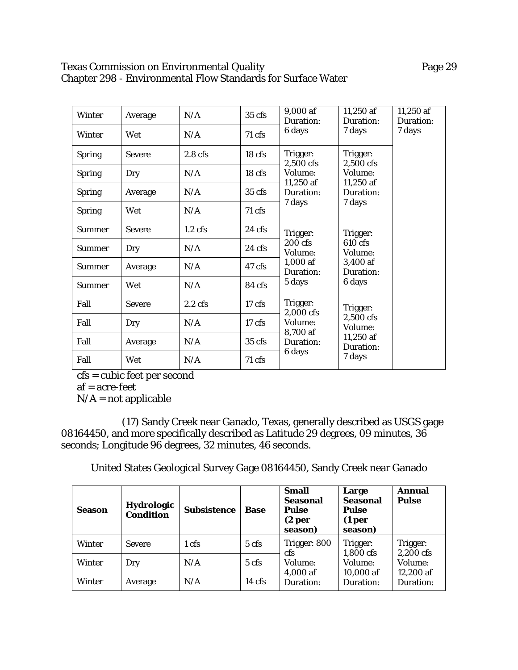# Texas Commission on Environmental Quality **Page 29** Page 29 Chapter 298 - Environmental Flow Standards for Surface Water

| <b>Winter</b> | Average       | N/A                | $35$ cfs         | 9,000 af<br>Duration:             | 11,250 af<br>Duration: | 11,250 af<br>Duration: |
|---------------|---------------|--------------------|------------------|-----------------------------------|------------------------|------------------------|
| <b>Winter</b> | Wet           | N/A                | 71 cfs           | 6 days                            | 7 days                 | 7 days                 |
| <b>Spring</b> | <b>Severe</b> | 2.8 <sub>cfs</sub> | 18 cfs           | Trigger:<br>2,500 cfs             | Trigger:<br>2,500 cfs  |                        |
| <b>Spring</b> | Dry           | N/A                | $18$ cfs         | Volume:<br>Volume:<br>$11,250$ af | 11,250 af              |                        |
| <b>Spring</b> | Average       | N/A                | $35 \text{ cfs}$ | Duration:                         | Duration:              |                        |
| <b>Spring</b> | Wet           | N/A                | $71 \text{ cfs}$ | 7 days                            | 7 days                 |                        |
| <b>Summer</b> | <b>Severe</b> | $1.2 \text{ cfs}$  | $24 \text{ cfs}$ | Trigger:                          | Trigger:               |                        |
| <b>Summer</b> | Dry           | N/A                | $24 \text{ cfs}$ | 200 cfs<br>Volume:                | 610 cfs<br>Volume:     |                        |
| <b>Summer</b> | Average       | N/A                | 47 cfs           | $1,000$ af<br>Duration:           | 3,400 af<br>Duration:  |                        |
| <b>Summer</b> | Wet           | N/A                | 84 cfs           | 5 days                            | 6 days                 |                        |
| Fall          | <b>Severe</b> | $2.2 \text{ cfs}$  | $17 \text{ cfs}$ | Trigger:<br>2,000 cfs             | Trigger:               |                        |
| Fall          | Dry           | N/A                | $17 \text{ cfs}$ | Volume:<br>8,700 af               | 2,500 cfs<br>Volume:   |                        |
| Fall          | Average       | N/A                | $35 \text{ cfs}$ | Duration:                         | 11,250 af<br>Duration: |                        |
| Fall          | Wet           | N/A                | $71 \text{ cfs}$ | 6 days                            | 7 days                 |                        |

cfs = cubic feet per second

af = acre-feet

 $N/A$  = not applicable

(17) Sandy Creek near Ganado, Texas, generally described as USGS gage 08164450, and more specifically described as Latitude 29 degrees, 09 minutes, 36 seconds; Longitude 96 degrees, 32 minutes, 46 seconds.

United States Geological Survey Gage 08164450, Sandy Creek near Ganado

| <b>Season</b> | <b>Hydrologic</b><br><b>Condition</b> | <b>Subsistence</b> | <b>Base</b>      | <b>Small</b><br><b>Seasonal</b><br><b>Pulse</b><br>(2 <sub>per</sub> )<br>season) | Large<br><b>Seasonal</b><br><b>Pulse</b><br>(1 <sub>per</sub> )<br>season) | <b>Annual</b><br><b>Pulse</b> |
|---------------|---------------------------------------|--------------------|------------------|-----------------------------------------------------------------------------------|----------------------------------------------------------------------------|-------------------------------|
| <b>Winter</b> | <b>Severe</b>                         | 1 cfs              | 5 cfs            | Trigger: 800<br>cfs                                                               | Trigger:<br>1,800 cfs                                                      | Trigger:<br>2,200 cfs         |
| <b>Winter</b> | Dry                                   | N/A                | 5 <sub>cfs</sub> | Volume:                                                                           | Volume:                                                                    | Volume:                       |
| <b>Winter</b> | Average                               | N/A                | $14 \text{ cfs}$ | $4,000$ af<br>Duration:                                                           | 10,000 af<br>Duration:                                                     | 12,200 af<br>Duration:        |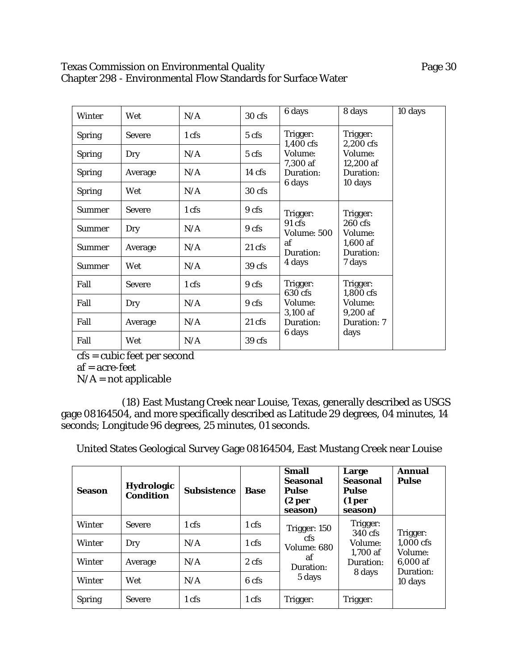## Texas Commission on Environmental Quality **Page 30** Chapter 298 - Environmental Flow Standards for Surface Water

| <b>Winter</b> | Wet           | N/A             | 30 cfs           | 6 days                                                                | 8 days                  | 10 days |
|---------------|---------------|-----------------|------------------|-----------------------------------------------------------------------|-------------------------|---------|
| <b>Spring</b> | <b>Severe</b> | 1 cfs           | 5 cfs            | Trigger:<br>1,400 cfs                                                 | Trigger:<br>2.200 cfs   |         |
| <b>Spring</b> | Dry           | N/A             | 5 cfs            | Volume:<br>Volume:<br>7,300 af<br>12,200 af<br>Duration:<br>Duration: |                         |         |
| <b>Spring</b> | Average       | N/A             | $14 \text{ cfs}$ |                                                                       |                         |         |
| <b>Spring</b> | Wet           | N/A             | $30 \text{ cfs}$ | 6 days                                                                | 10 days                 |         |
| <b>Summer</b> | <b>Severe</b> | $1 \text{ cfs}$ | 9 cfs            | Trigger:                                                              | Trigger:                |         |
| <b>Summer</b> | Dry           | N/A             | 9 cfs            | $91 \text{ cfs}$<br><b>Volume: 500</b>                                | 260 cfs<br>Volume:      |         |
| <b>Summer</b> | Average       | N/A             | $21$ cfs         | af<br>Duration:                                                       | $1,600$ af<br>Duration: |         |
| <b>Summer</b> | Wet           | N/A             | 39 cfs           | 4 days                                                                | 7 days                  |         |
| Fall          | <b>Severe</b> | 1 cfs           | 9 cfs            | Trigger:<br>630 cfs                                                   | Trigger:<br>1,800 cfs   |         |
| Fall          | Dry           | N/A             | 9 cfs            | Volume:<br>3,100 af                                                   | Volume:<br>9,200 af     |         |
| Fall          | Average       | N/A             | $21 \text{ cfs}$ | Duration:                                                             | Duration: 7             |         |
| Fall          | Wet           | N/A             | 39 cfs           | 6 days                                                                | days                    |         |

cfs = cubic feet per second af = acre-feet

 $N/A$  = not applicable

(18) East Mustang Creek near Louise, Texas, generally described as USGS gage 08164504, and more specifically described as Latitude 29 degrees, 04 minutes, 14 seconds; Longitude 96 degrees, 25 minutes, 01 seconds.

United States Geological Survey Gage 08164504, East Mustang Creek near Louise

| <b>Season</b> | <b>Hydrologic</b><br><b>Condition</b> | <b>Subsistence</b> | <b>Base</b>     | <b>Small</b><br><b>Seasonal</b><br>Pulse<br>(2 <sub>per</sub> )<br>season) | Large<br><b>Seasonal</b><br><b>Pulse</b><br>(1 <sub>per</sub> )<br>season) | <b>Annual</b><br><b>Pulse</b> |
|---------------|---------------------------------------|--------------------|-----------------|----------------------------------------------------------------------------|----------------------------------------------------------------------------|-------------------------------|
| <b>Winter</b> | <b>Severe</b>                         | 1 cfs              | 1 <sub>cf</sub> | Trigger: 150                                                               | Trigger:<br>340 cfs                                                        | Trigger:                      |
| <b>Winter</b> | Dry                                   | N/A                | 1 cfs           | cfs<br>Volume: 680                                                         | Volume:<br>$1,700$ af                                                      | 1,000 cfs<br>Volume:          |
| <b>Winter</b> | Average                               | N/A                | 2 cfs           | af<br>Duration:                                                            | Duration:                                                                  | 6,000 af                      |
| Winter        | Wet                                   | N/A                | 6 cfs           | 5 days                                                                     | 8 days                                                                     | Duration:<br>10 days          |
| <b>Spring</b> | <b>Severe</b>                         | 1 cfs              | 1 cfs           | Trigger:                                                                   | Trigger:                                                                   |                               |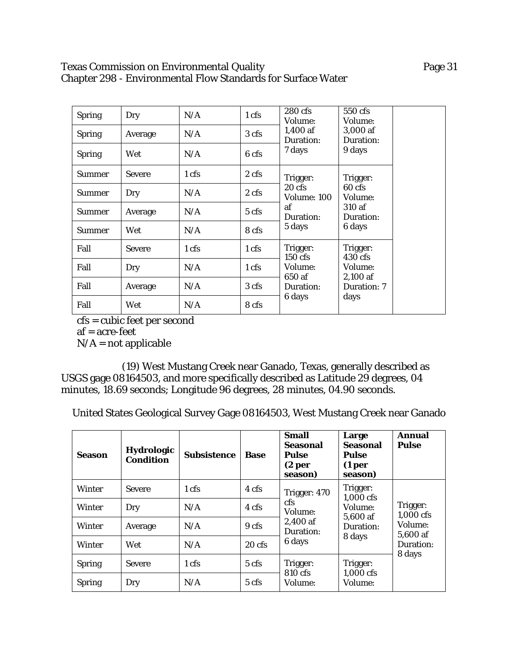# Texas Commission on Environmental Quality **Page 31** Chapter 298 - Environmental Flow Standards for Surface Water

| <b>Spring</b> | Dry           | N/A             | 1 <sub>cf</sub>  | 280 cfs<br>Volume:              | 550 cfs<br>Volume:                                             |
|---------------|---------------|-----------------|------------------|---------------------------------|----------------------------------------------------------------|
| <b>Spring</b> | Average       | N/A             | 3 cfs            | $1,400$ af<br>Duration:         | 3,000 af<br>Duration:                                          |
| <b>Spring</b> | Wet           | N/A             | 6 cfs            | 7 days                          | 9 days                                                         |
| <b>Summer</b> | <b>Severe</b> | 1 <sub>cf</sub> | $2 \text{ cfs}$  | Trigger:                        | Trigger:<br>$60 \text{ cfs}$<br>Volume:<br>310 af<br>Duration: |
| <b>Summer</b> | Dry           | N/A             | 2 <sub>cfs</sub> | $20 \text{ cfs}$<br>Volume: 100 |                                                                |
| <b>Summer</b> | Average       | N/A             | $5 \text{ cfs}$  | af<br>Duration:                 |                                                                |
| <b>Summer</b> | Wet           | N/A             | 8 cfs            | 5 days                          | 6 days                                                         |
| Fall          | <b>Severe</b> | 1 <sub>cf</sub> | $1 \text{ cfs}$  | Trigger:<br>$150 \text{ cfs}$   | Trigger:<br>$430 \text{ cfs}$<br>Volume:                       |
| Fall          | Dry           | N/A             | 1 cfs            | Volume:                         |                                                                |
| Fall          | Average       | N/A             | 3 cfs            | 650 af<br>Duration:             | $2,100$ af<br>Duration: 7                                      |
| Fall          | Wet           | N/A             | 8 cfs            | 6 days                          | days                                                           |

cfs = cubic feet per second

af = acre-feet

 $N/A$  = not applicable

(19) West Mustang Creek near Ganado, Texas, generally described as USGS gage 08164503, and more specifically described as Latitude 29 degrees, 04 minutes, 18.69 seconds; Longitude 96 degrees, 28 minutes, 04.90 seconds.

United States Geological Survey Gage 08164503, West Mustang Creek near Ganado

| Season        | Hydrologic<br><b>Condition</b> | <b>Subsistence</b> | <b>Base</b>      | <b>Small</b><br>Seasonal<br>Pulse<br>(2 <sub>per</sub> )<br>season) | Large<br><b>Seasonal</b><br>Pulse<br>(1 <sub>per</sub> )<br>season) | Annual<br><b>Pulse</b> |
|---------------|--------------------------------|--------------------|------------------|---------------------------------------------------------------------|---------------------------------------------------------------------|------------------------|
| Winter        | <b>Severe</b>                  | 1 cfs              | 4 cfs            | Trigger: 470                                                        | Trigger:<br>1,000 cfs                                               |                        |
| <b>Winter</b> | Dry                            | N/A                | 4 cfs            | <b>cfs</b><br>Volume:                                               | Volume:                                                             | Trigger:<br>1,000 cfs  |
| Winter        | Average                        | N/A                | 9 <sub>cfs</sub> | 2,400 af<br>Duration:                                               | 5,600 af<br>Duration:                                               | Volume:<br>5,600 af    |
| Winter        | Wet                            | N/A                | $20 \text{ cfs}$ | 6 days                                                              | 8 days                                                              | Duration:              |
| <b>Spring</b> | <b>Severe</b>                  | 1 cfs              | $5 \text{ cfs}$  | Trigger:                                                            | Trigger:                                                            | 8 days                 |
| <b>Spring</b> | Dry                            | N/A                | 5 <sub>cfs</sub> | 810 cfs<br>Volume:                                                  | 1,000 cfs<br>Volume:                                                |                        |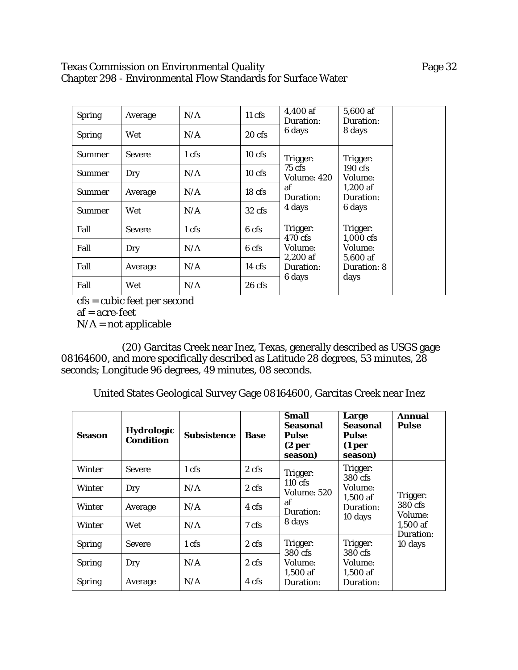# Texas Commission on Environmental Quality **Page 32** Page 32 Chapter 298 - Environmental Flow Standards for Surface Water

| <b>Spring</b> | Average       | N/A   | $11$ cfs         | 4,400 af<br>Duration:           | 5,600 af<br>Duration:             |
|---------------|---------------|-------|------------------|---------------------------------|-----------------------------------|
| <b>Spring</b> | Wet           | N/A   | $20 \text{ cfs}$ | 6 days                          | 8 days                            |
| <b>Summer</b> | <b>Severe</b> | 1 cfs | $10$ cfs         | Trigger:                        | Trigger:                          |
| <b>Summer</b> | Dry           | N/A   | $10$ cfs         | $75 \text{ cfs}$<br>Volume: 420 | $190 \text{ cfs}$<br>Volume:      |
| <b>Summer</b> | Average       | N/A   | 18 <sub>cf</sub> | af<br>Duration:                 | $1,200$ af<br>Duration:<br>6 days |
| <b>Summer</b> | Wet           | N/A   | $32 \text{ cfs}$ | 4 days                          |                                   |
| Fall          | <b>Severe</b> | 1 cfs | 6 cfs            | Trigger:<br>470 cfs             | Trigger:<br>1,000 cfs             |
| Fall          | Dry           | N/A   | 6 cfs            | Volume:                         | <b>Volume:</b><br>5,600 af        |
| Fall          | Average       | N/A   | $14 \text{ cfs}$ | $2,200$ af<br>Duration:         | Duration: 8                       |
| Fall          | Wet           | N/A   | $26$ cfs         | 6 days                          | days                              |

cfs = cubic feet per second

af = acre-feet

 $N/A$  = not applicable

(20) Garcitas Creek near Inez, Texas, generally described as USGS gage 08164600, and more specifically described as Latitude 28 degrees, 53 minutes, 28 seconds; Longitude 96 degrees, 49 minutes, 08 seconds.

United States Geological Survey Gage 08164600, Garcitas Creek near Inez

| <b>Season</b> | <b>Hydrologic</b><br><b>Condition</b> | Subsistence | <b>Base</b>      | Small<br><b>Seasonal</b><br>Pulse<br>(2 <sub>per</sub> )<br>season) | Large<br>Seasonal<br><b>Pulse</b><br>(1 <sub>per</sub> )<br>season) | <b>Annual</b><br><b>Pulse</b> |
|---------------|---------------------------------------|-------------|------------------|---------------------------------------------------------------------|---------------------------------------------------------------------|-------------------------------|
| <b>Winter</b> | <b>Severe</b>                         | 1 cfs       | 2 <sub>cfs</sub> | Trigger:                                                            | Trigger:<br>380 cfs                                                 |                               |
| Winter        | Dry                                   | N/A         | 2 <sub>cfs</sub> | $110 \text{ cfs}$<br><b>Volume: 520</b>                             | Volume:<br>$1.500$ af                                               | Trigger:                      |
| <b>Winter</b> | Average                               | N/A         | 4 cfs            | af<br>Duration:                                                     | Duration:                                                           | 380 cfs<br>Volume:            |
| Winter        | Wet                                   | N/A         | 7 cfs            | 8 days                                                              | 10 days                                                             | $1,500$ af                    |
| <b>Spring</b> | <b>Severe</b>                         | 1 cfs       | 2 cfs            | Trigger:                                                            | Trigger:                                                            | Duration:<br>10 days          |
| <b>Spring</b> | Dry                                   | N/A         | 2 cfs            | 380 cfs<br><b>Volume:</b>                                           | 380 cfs<br>Volume:                                                  |                               |
| <b>Spring</b> | Average                               | N/A         | 4 cfs            | $1,500$ af<br>Duration:                                             | $1,500$ af<br>Duration:                                             |                               |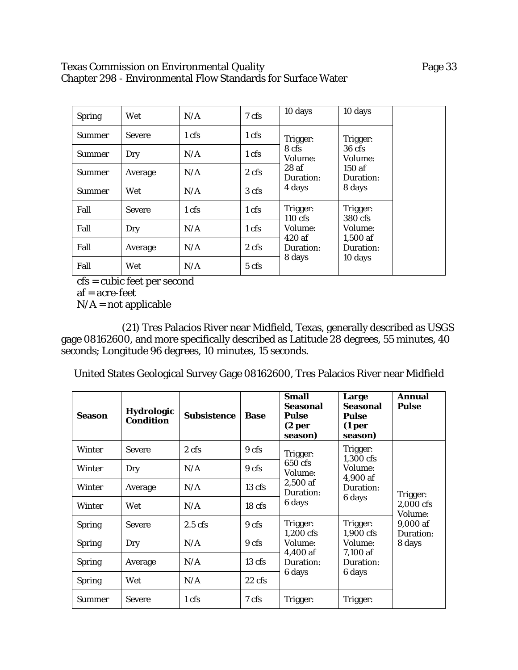### Texas Commission on Environmental Quality **Page 33** Chapter 298 - Environmental Flow Standards for Surface Water

| <b>Spring</b> | Wet           | N/A             | 7 cfs            | 10 days                       | 10 days                     |
|---------------|---------------|-----------------|------------------|-------------------------------|-----------------------------|
| <b>Summer</b> | <b>Severe</b> | $1 \text{ cfs}$ | $1 \text{ cfs}$  | Trigger:                      | Trigger:                    |
| <b>Summer</b> | Dry           | N/A             | 1 cfs            | 8 cfs<br>Volume:              | $36 \text{ cfs}$<br>Volume: |
| <b>Summer</b> | Average       | N/A             | 2 <sub>cfs</sub> | 28af<br>Duration:             | 150af<br>Duration:          |
| <b>Summer</b> | Wet           | N/A             | 3 cfs            | 4 days                        | 8 days                      |
| Fall          | <b>Severe</b> | 1 cfs           | 1 <sub>cf</sub>  | Trigger:<br>$110 \text{ cfs}$ | Trigger:<br>380 cfs         |
| Fall          | Dry           | N/A             | 1 <sub>cf</sub>  | Volume:<br>420 af             | Volume:<br>$1,500$ af       |
| Fall          | Average       | N/A             | 2 cfs            | Duration:                     | Duration:                   |
| Fall          | Wet           | N/A             | 5 cfs            | 8 days                        | 10 days                     |

cfs = cubic feet per second

af = acre-feet

 $N/A$  = not applicable

(21) Tres Palacios River near Midfield, Texas, generally described as USGS gage 08162600, and more specifically described as Latitude 28 degrees, 55 minutes, 40 seconds; Longitude 96 degrees, 10 minutes, 15 seconds.

United States Geological Survey Gage 08162600, Tres Palacios River near Midfield

| <b>Season</b> | <b>Hydrologic</b><br><b>Condition</b> | <b>Subsistence</b> | <b>Base</b>       | <b>Small</b><br><b>Seasonal</b><br><b>Pulse</b><br>(2 <sub>per</sub> )<br>season) | Large<br><b>Seasonal</b><br><b>Pulse</b><br>(1 <sub>per</sub> )<br>season) | Annual<br><b>Pulse</b> |
|---------------|---------------------------------------|--------------------|-------------------|-----------------------------------------------------------------------------------|----------------------------------------------------------------------------|------------------------|
| <b>Winter</b> | <b>Severe</b>                         | 2 cfs              | 9 cfs             | Trigger:<br>650 cfs<br>Volume:<br>2,500 af<br>Duration:                           | Trigger:<br>1,300 cfs                                                      |                        |
| <b>Winter</b> | Dry                                   | N/A                | 9 cfs             |                                                                                   | Volume:                                                                    |                        |
| <b>Winter</b> | Average                               | N/A                | $13 \text{ cfs}$  |                                                                                   | 4,900 af<br>Duration:                                                      | Trigger:               |
| <b>Winter</b> | Wet                                   | N/A                | 18 <sub>cfs</sub> | 6 days                                                                            | 6 days                                                                     | 2,000 cfs<br>Volume:   |
| <b>Spring</b> | <b>Severe</b>                         | $2.5$ cfs          | 9 cfs             | Trigger:                                                                          | Trigger:                                                                   | 9,000 af               |
| <b>Spring</b> | Dry                                   | N/A                | 9 cfs             | 1,200 cfs<br>Volume:                                                              | 1,900 cfs<br>Volume:                                                       | Duration:<br>8 days    |
| <b>Spring</b> | Average                               | N/A                | $13 \text{ cfs}$  | 4,400 af<br>Duration:                                                             | 7,100 af<br>Duration:                                                      |                        |
| <b>Spring</b> | Wet                                   | N/A                | $22 \text{ cfs}$  | 6 days                                                                            | 6 days                                                                     |                        |
| Summer        | <b>Severe</b>                         | 1 cfs              | 7 cfs             | Trigger:                                                                          | Trigger:                                                                   |                        |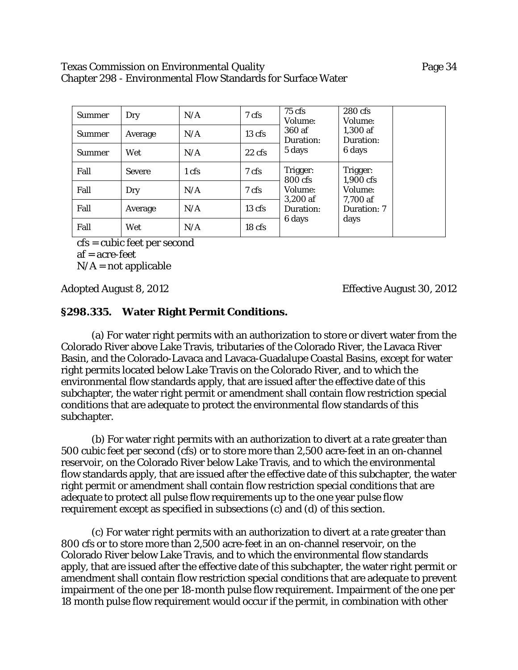#### Texas Commission on Environmental Quality Page 34 Chapter 298 - Environmental Flow Standards for Surface Water

| <b>Summer</b> | Dry           | N/A             | 7 cfs                      | $75 \text{ cfs}$<br>Volume: | 280 cfs<br>Volume:<br>1,300 af<br>Duration:<br>6 days |
|---------------|---------------|-----------------|----------------------------|-----------------------------|-------------------------------------------------------|
| <b>Summer</b> | Average       | N/A             | $13 \text{ cfs}$           | 360 af<br>Duration:         |                                                       |
| <b>Summer</b> | Wet           | N/A             | 5 days<br>$22 \text{ cfs}$ |                             |                                                       |
| Fall          | <b>Severe</b> | 1 <sub>cf</sub> | 7 cfs                      | Trigger:<br>800 cfs         | Trigger:<br>1,900 cfs                                 |
| Fall          | Dry           | N/A             | 7 cfs                      | Volume:                     | Volume:                                               |
| Fall          | Average       | N/A             | $13 \text{ cfs}$           | $3,200$ af<br>Duration:     | 7,700 af<br>Duration: 7                               |
| Fall          | Wet           | N/A             | 18 <sub>cf</sub>           | 6 days                      | days                                                  |

cfs = cubic feet per second  $af = acre-free$ 

 $N/A$  = not applicable

Adopted August 8, 2012 Effective August 30, 2012

# **§298.335. Water Right Permit Conditions.**

(a) For water right permits with an authorization to store or divert water from the Colorado River above Lake Travis, tributaries of the Colorado River, the Lavaca River Basin, and the Colorado-Lavaca and Lavaca-Guadalupe Coastal Basins, except for water right permits located below Lake Travis on the Colorado River, and to which the environmental flow standards apply, that are issued after the effective date of this subchapter, the water right permit or amendment shall contain flow restriction special conditions that are adequate to protect the environmental flow standards of this subchapter.

(b) For water right permits with an authorization to divert at a rate greater than 500 cubic feet per second (cfs) or to store more than 2,500 acre-feet in an on-channel reservoir, on the Colorado River below Lake Travis, and to which the environmental flow standards apply, that are issued after the effective date of this subchapter, the water right permit or amendment shall contain flow restriction special conditions that are adequate to protect all pulse flow requirements up to the one year pulse flow requirement except as specified in subsections (c) and (d) of this section.

(c) For water right permits with an authorization to divert at a rate greater than 800 cfs or to store more than 2,500 acre-feet in an on-channel reservoir, on the Colorado River below Lake Travis, and to which the environmental flow standards apply, that are issued after the effective date of this subchapter, the water right permit or amendment shall contain flow restriction special conditions that are adequate to prevent impairment of the one per 18-month pulse flow requirement. Impairment of the one per 18 month pulse flow requirement would occur if the permit, in combination with other